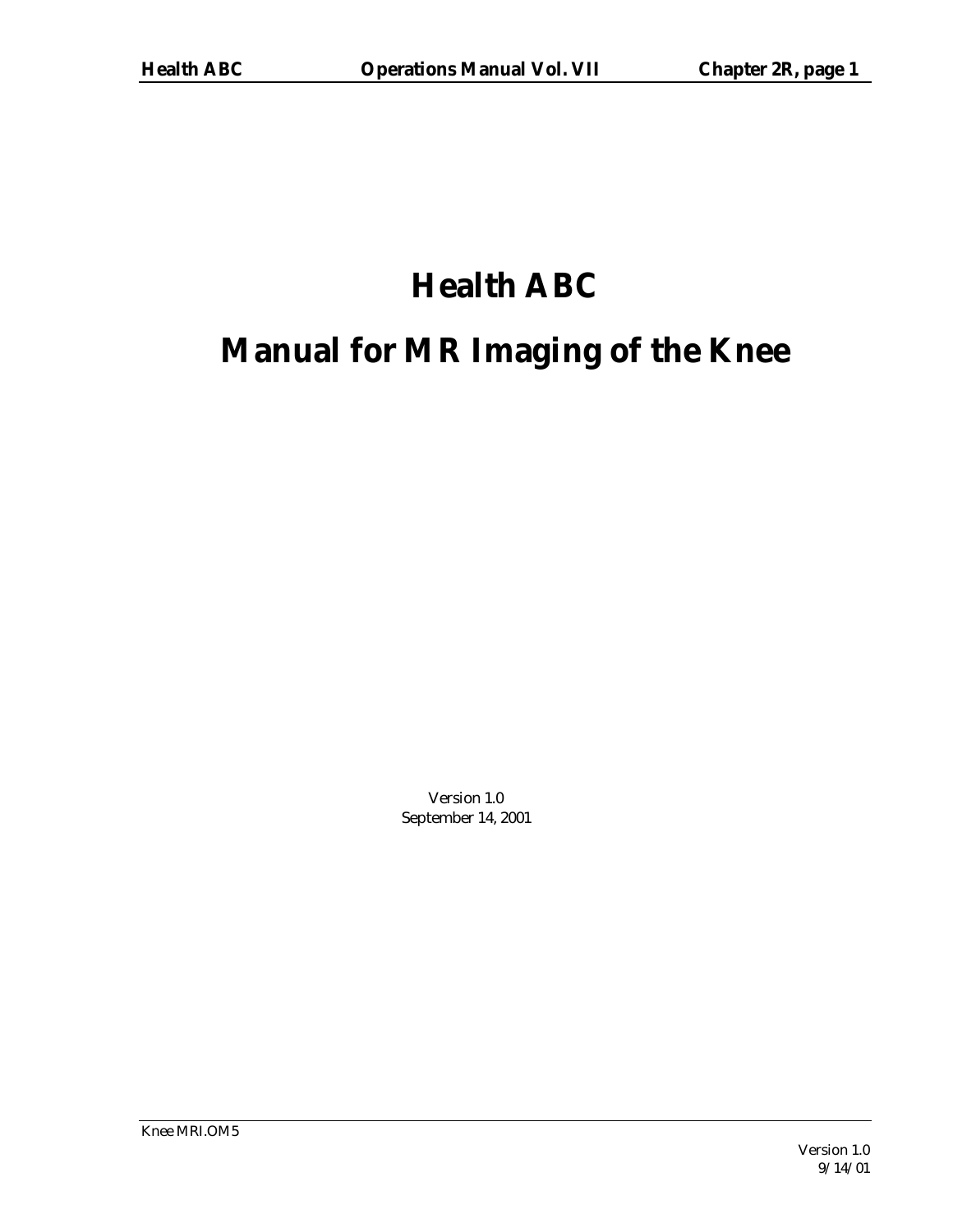# **Health ABC**

# **Manual for MR Imaging of the Knee**

Version 1.0 September 14, 2001

Knee MRI.OM5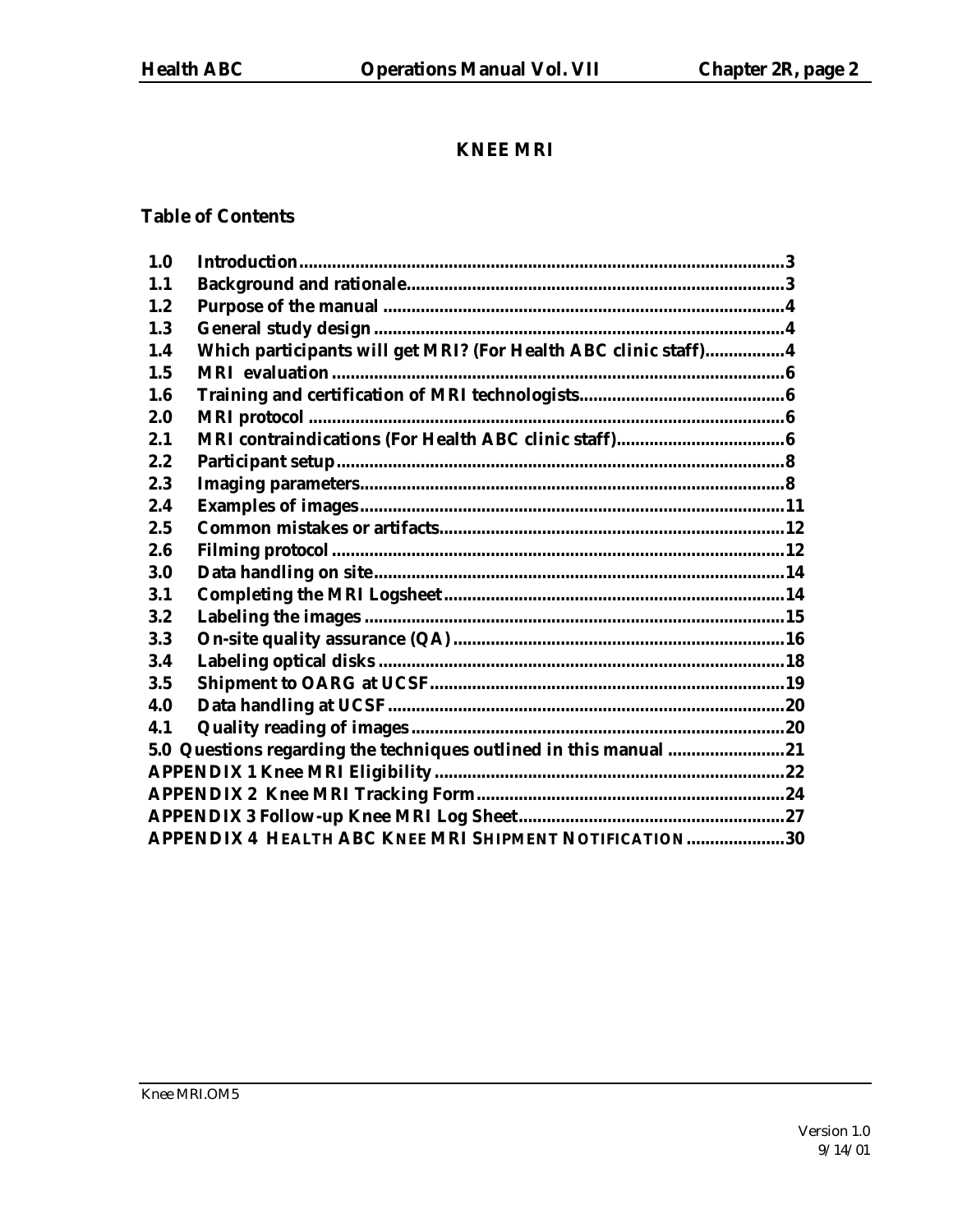# **KNEE MRI**

# **Table of Contents**

| APPENDIX 4 HEALTH ABC KNEE MRI SHIPMENT NOTIFICATION30 |                                                                                                                                      |
|--------------------------------------------------------|--------------------------------------------------------------------------------------------------------------------------------------|
|                                                        | Which participants will get MRI? (For Health ABC clinic staff)4<br>5.0 Questions regarding the techniques outlined in this manual 21 |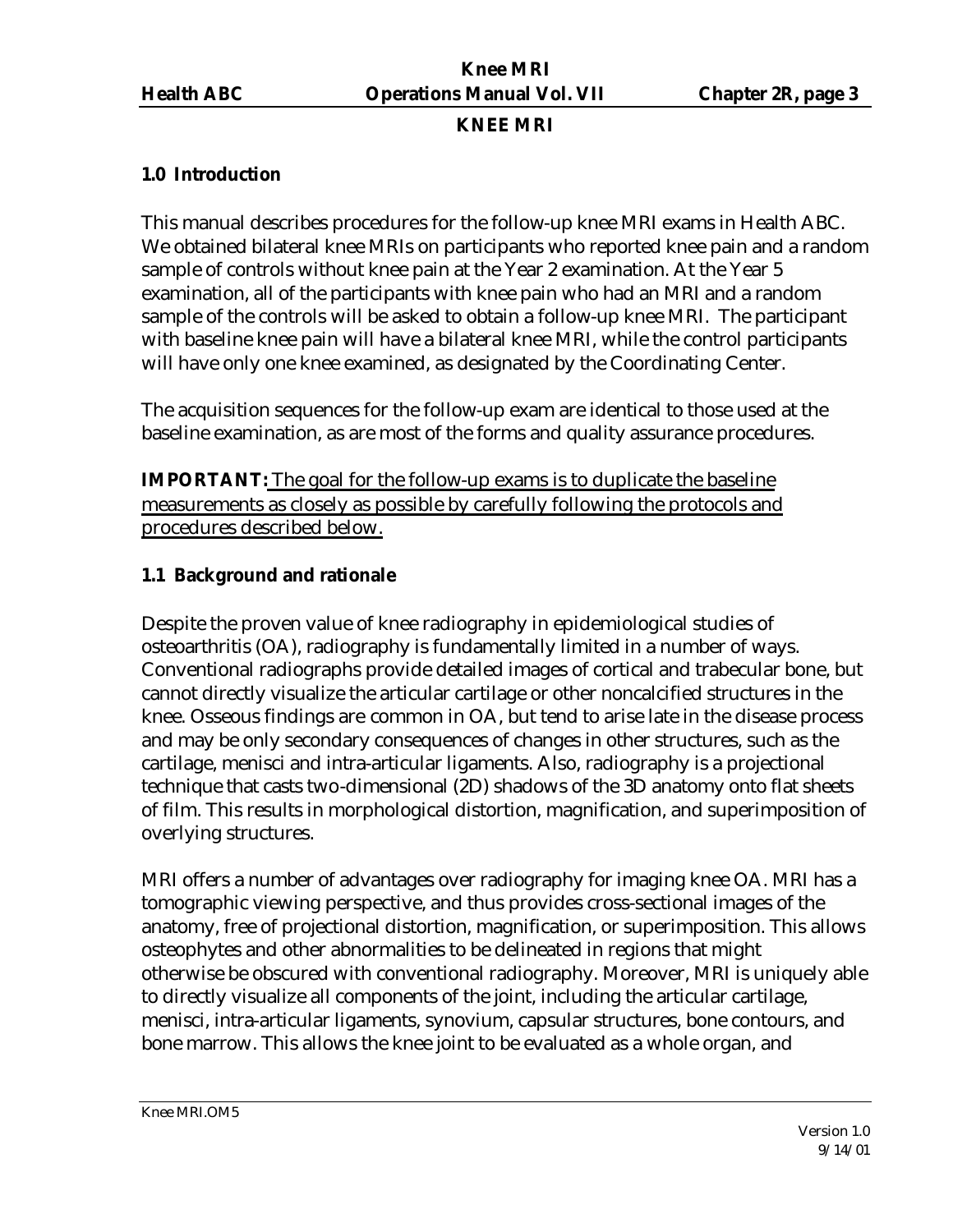### **KNEE MRI**

### **1.0 Introduction**

This manual describes procedures for the follow-up knee MRI exams in Health ABC. We obtained bilateral knee MRIs on participants who reported knee pain and a random sample of controls without knee pain at the Year 2 examination. At the Year 5 examination, all of the participants with knee pain who had an MRI and a random sample of the controls will be asked to obtain a follow-up knee MRI. The participant with baseline knee pain will have a bilateral knee MRI, while the control participants will have only one knee examined, as designated by the Coordinating Center.

The acquisition sequences for the follow-up exam are identical to those used at the baseline examination, as are most of the forms and quality assurance procedures.

**IMPORTANT:** The goal for the follow-up exams is to duplicate the baseline measurements as closely as possible by carefully following the protocols and procedures described below.

### **1.1 Background and rationale**

Despite the proven value of knee radiography in epidemiological studies of osteoarthritis (OA), radiography is fundamentally limited in a number of ways. Conventional radiographs provide detailed images of cortical and trabecular bone, but cannot directly visualize the articular cartilage or other noncalcified structures in the knee. Osseous findings are common in OA, but tend to arise late in the disease process and may be only secondary consequences of changes in other structures, such as the cartilage, menisci and intra-articular ligaments. Also, radiography is a projectional technique that casts two-dimensional (2D) shadows of the 3D anatomy onto flat sheets of film. This results in morphological distortion, magnification, and superimposition of overlying structures.

MRI offers a number of advantages over radiography for imaging knee OA. MRI has a tomographic viewing perspective, and thus provides cross-sectional images of the anatomy, free of projectional distortion, magnification, or superimposition. This allows osteophytes and other abnormalities to be delineated in regions that might otherwise be obscured with conventional radiography. Moreover, MRI is uniquely able to directly visualize all components of the joint, including the articular cartilage, menisci, intra-articular ligaments, synovium, capsular structures, bone contours, and bone marrow. This allows the knee joint to be evaluated as a whole organ, and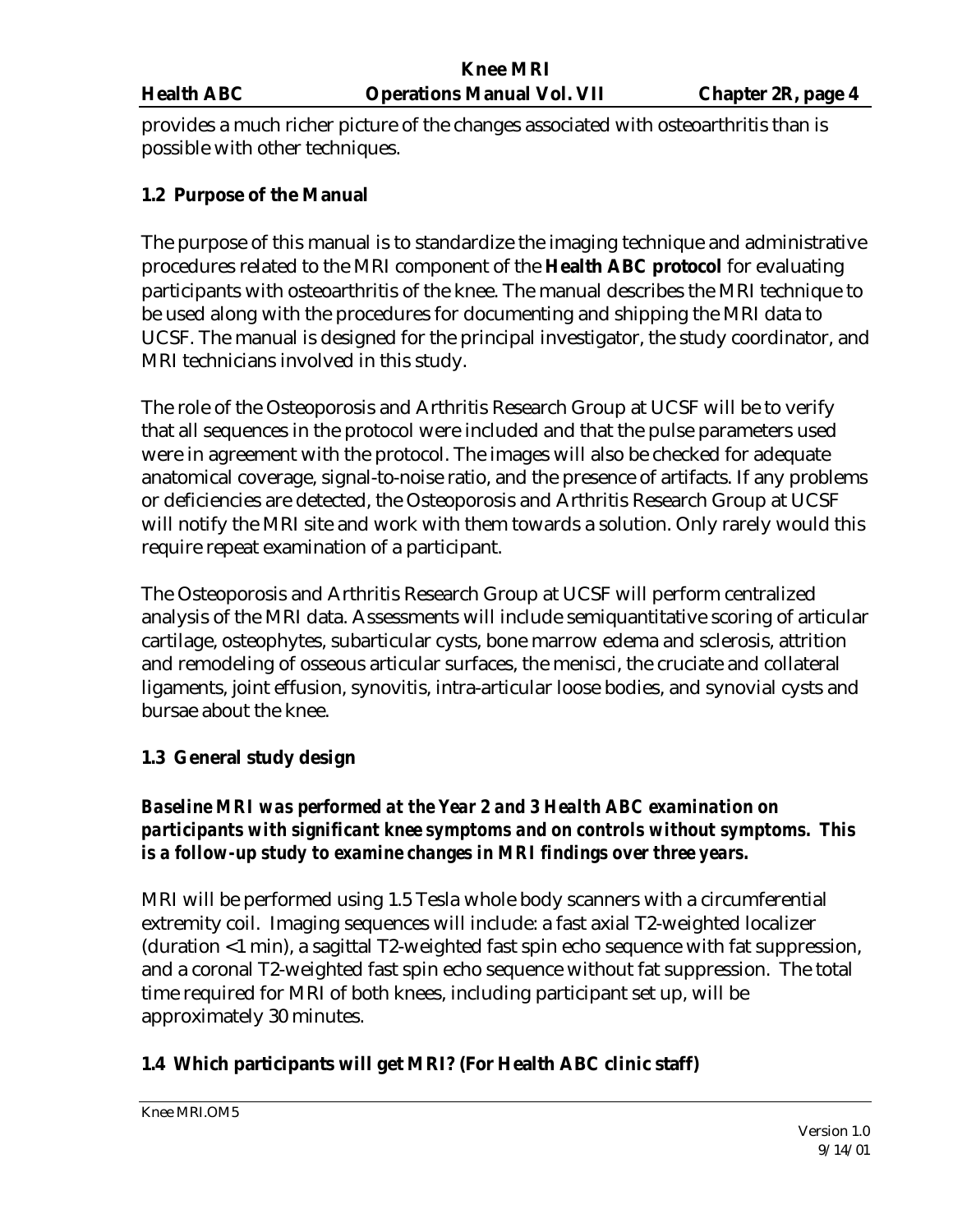provides a much richer picture of the changes associated with osteoarthritis than is possible with other techniques.

### **1.2 Purpose of the Manual**

The purpose of this manual is to standardize the imaging technique and administrative procedures related to the MRI component of the **Health ABC protocol** for evaluating participants with osteoarthritis of the knee. The manual describes the MRI technique to be used along with the procedures for documenting and shipping the MRI data to UCSF. The manual is designed for the principal investigator, the study coordinator, and MRI technicians involved in this study.

The role of the Osteoporosis and Arthritis Research Group at UCSF will be to verify that all sequences in the protocol were included and that the pulse parameters used were in agreement with the protocol. The images will also be checked for adequate anatomical coverage, signal-to-noise ratio, and the presence of artifacts. If any problems or deficiencies are detected, the Osteoporosis and Arthritis Research Group at UCSF will notify the MRI site and work with them towards a solution. Only rarely would this require repeat examination of a participant.

The Osteoporosis and Arthritis Research Group at UCSF will perform centralized analysis of the MRI data. Assessments will include semiquantitative scoring of articular cartilage, osteophytes, subarticular cysts, bone marrow edema and sclerosis, attrition and remodeling of osseous articular surfaces, the menisci, the cruciate and collateral ligaments, joint effusion, synovitis, intra-articular loose bodies, and synovial cysts and bursae about the knee.

#### **1.3 General study design**

# *Baseline MRI was performed at the Year 2 and 3 Health ABC examination on participants with significant knee symptoms and on controls without symptoms. This is a follow-up study to examine changes in MRI findings over three years.*

MRI will be performed using 1.5 Tesla whole body scanners with a circumferential extremity coil. Imaging sequences will include: a fast axial T2-weighted localizer (duration <1 min), a sagittal T2-weighted fast spin echo sequence with fat suppression, and a coronal T2-weighted fast spin echo sequence without fat suppression. The total time required for MRI of both knees, including participant set up, will be approximately 30 minutes.

# **1.4 Which participants will get MRI? (For Health ABC clinic staff)**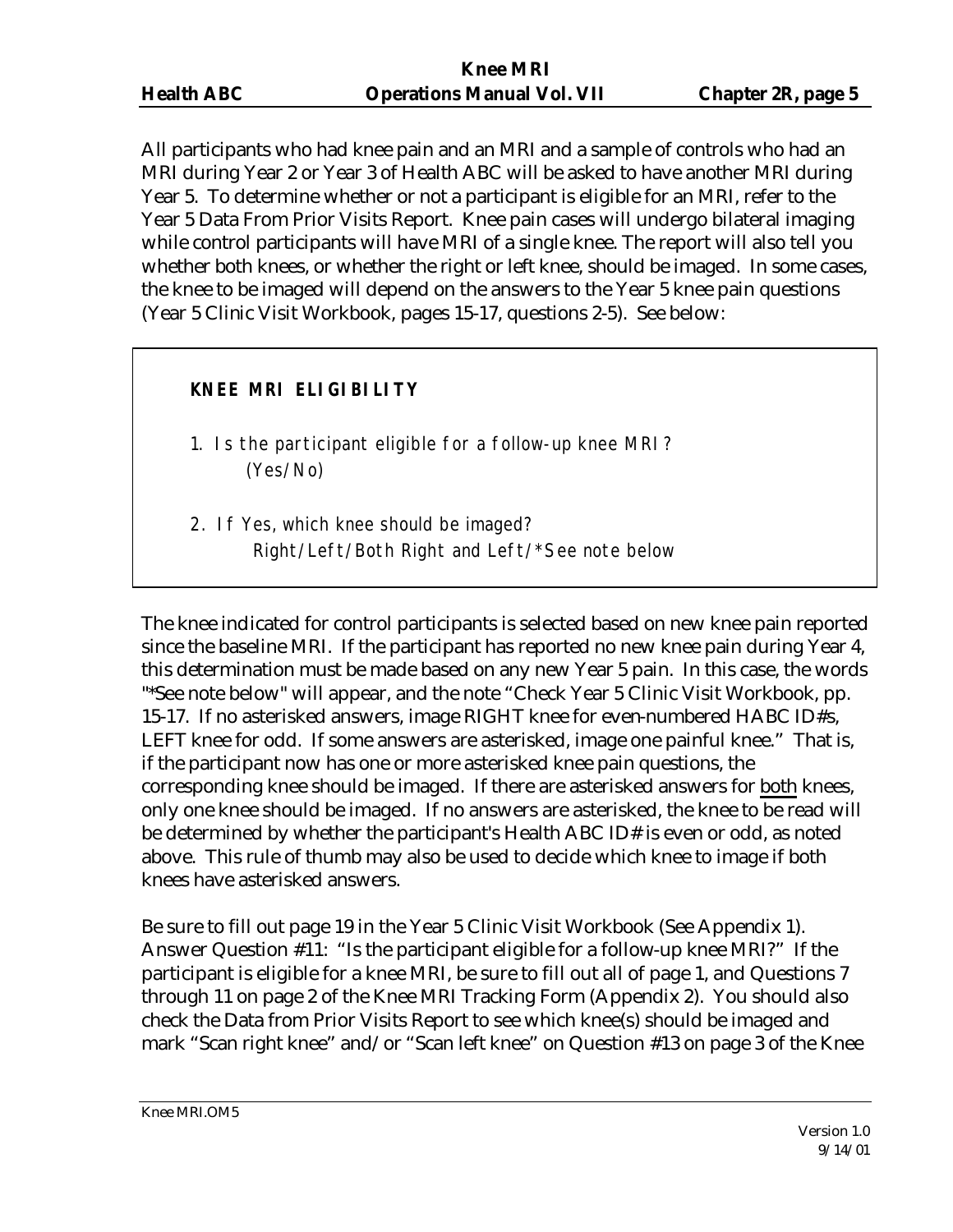All participants who had knee pain and an MRI and a sample of controls who had an MRI during Year 2 or Year 3 of Health ABC will be asked to have another MRI during Year 5. To determine whether or not a participant is eligible for an MRI, refer to the Year 5 Data From Prior Visits Report. Knee pain cases will undergo bilateral imaging while control participants will have MRI of a single knee. The report will also tell you whether both knees, or whether the right or left knee, should be imaged. In some cases, the knee to be imaged will depend on the answers to the Year 5 knee pain questions (Year 5 Clinic Visit Workbook, pages 15-17, questions 2-5). See below:

# **KNEE MRI ELIGIBILITY**

- 1. Is the participant eligible for a follow-up knee MRI? (Yes/No)
- 2. If Yes, which knee should be imaged? Right/Left/Both Right and Left/\*See note below

The knee indicated for control participants is selected based on new knee pain reported since the baseline MRI. If the participant has reported no new knee pain during Year 4, this determination must be made based on any new Year 5 pain. In this case, the words "\*See note below" will appear, and the note "Check Year 5 Clinic Visit Workbook, pp. 15-17. If no asterisked answers, image RIGHT knee for even-numbered HABC ID#s, LEFT knee for odd. If some answers are asterisked, image one painful knee." That is, if the participant now has one or more asterisked knee pain questions, the corresponding knee should be imaged. If there are asterisked answers for both knees, only one knee should be imaged. If no answers are asterisked, the knee to be read will be determined by whether the participant's Health ABC ID# is even or odd, as noted above. This rule of thumb may also be used to decide which knee to image if both knees have asterisked answers.

Be sure to fill out page 19 in the Year 5 Clinic Visit Workbook (See Appendix 1). Answer Question #11: "Is the participant eligible for a follow-up knee MRI?" If the participant is eligible for a knee MRI, be sure to fill out all of page 1, and Questions 7 through 11 on page 2 of the Knee MRI Tracking Form (Appendix 2). You should also check the Data from Prior Visits Report to see which knee(s) should be imaged and mark "Scan right knee" and/or "Scan left knee" on Question #13 on page 3 of the Knee

Knee MRI.OM5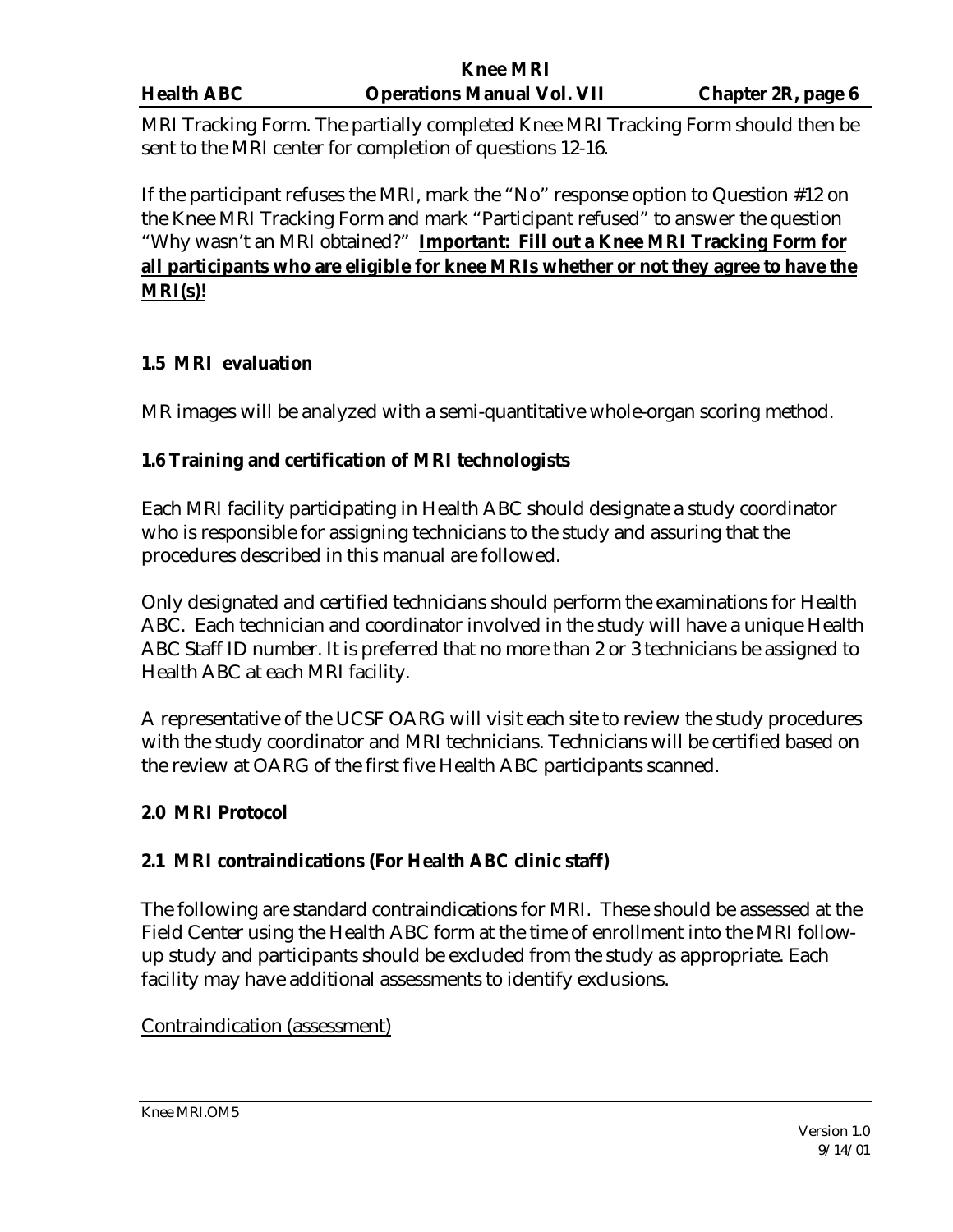|                   | Knee MKI                          |                    |
|-------------------|-----------------------------------|--------------------|
| <b>Health ABC</b> | <b>Operations Manual Vol. VII</b> | Chapter 2R, page 6 |
|                   |                                   |                    |

MRI Tracking Form. The partially completed Knee MRI Tracking Form should then be sent to the MRI center for completion of questions 12-16.

**K**ne

If the participant refuses the MRI, mark the "No" response option to Question #12 on the Knee MRI Tracking Form and mark "Participant refused" to answer the question "Why wasn't an MRI obtained?" **Important: Fill out a Knee MRI Tracking Form for all participants who are eligible for knee MRIs whether or not they agree to have the MRI(s)!**

# **1.5 MRI evaluation**

MR images will be analyzed with a semi-quantitative whole-organ scoring method.

# **1.6 Training and certification of MRI technologists**

Each MRI facility participating in Health ABC should designate a study coordinator who is responsible for assigning technicians to the study and assuring that the procedures described in this manual are followed.

Only designated and certified technicians should perform the examinations for Health ABC. Each technician and coordinator involved in the study will have a unique Health ABC Staff ID number. It is preferred that no more than 2 or 3 technicians be assigned to Health ABC at each MRI facility.

A representative of the UCSF OARG will visit each site to review the study procedures with the study coordinator and MRI technicians. Technicians will be certified based on the review at OARG of the first five Health ABC participants scanned.

# **2.0 MRI Protocol**

# **2.1 MRI contraindications (For Health ABC clinic staff)**

The following are standard contraindications for MRI. These should be assessed at the Field Center using the Health ABC form at the time of enrollment into the MRI followup study and participants should be excluded from the study as appropriate. Each facility may have additional assessments to identify exclusions.

# Contraindication (assessment)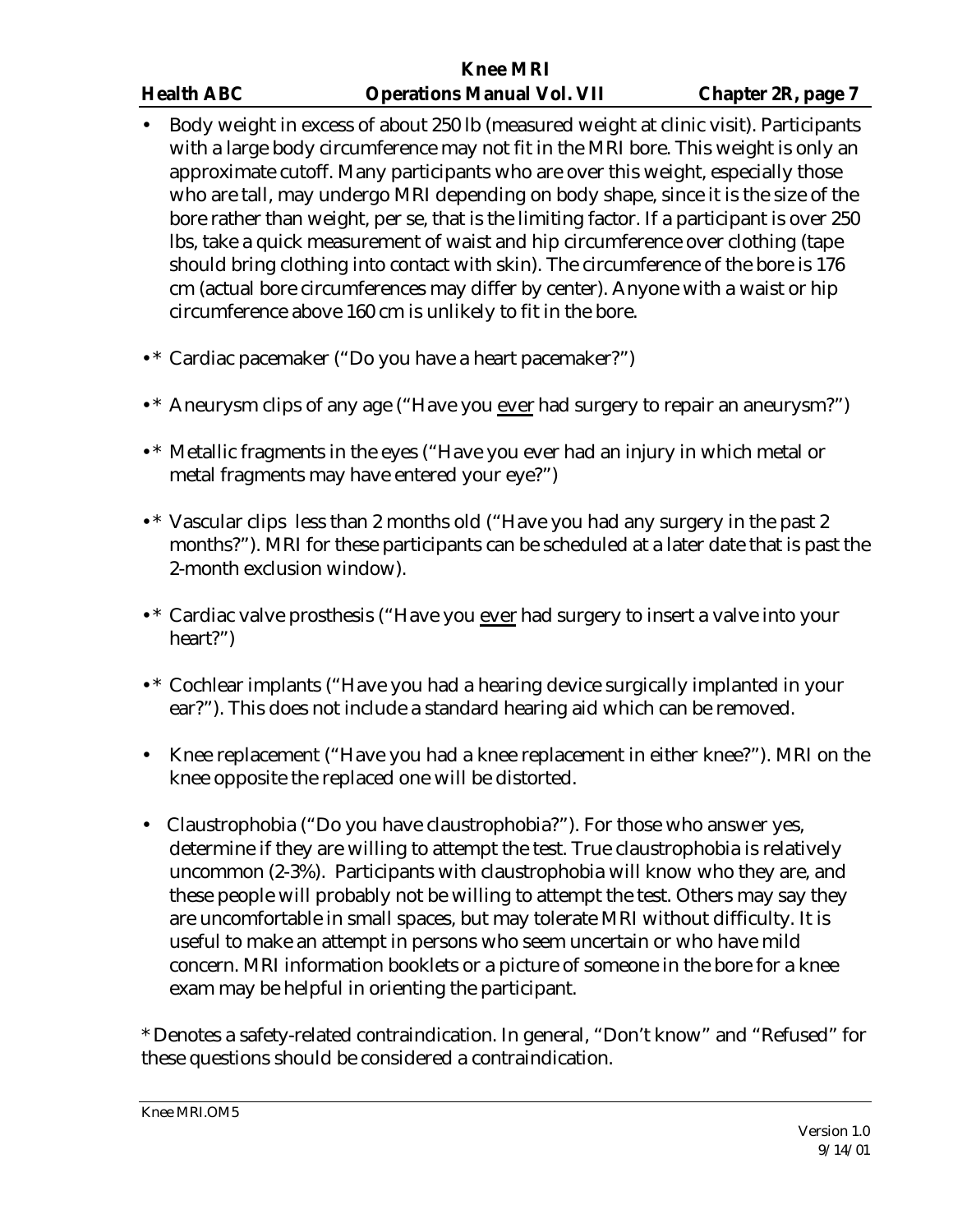- Body weight in excess of about 250 lb (measured weight at clinic visit). Participants with a large body circumference may not fit in the MRI bore. This weight is only an approximate cutoff. Many participants who are over this weight, especially those who are tall, may undergo MRI depending on body shape, since it is the size of the bore rather than weight, per se, that is the limiting factor. If a participant is over 250 lbs, take a quick measurement of waist and hip circumference over clothing (tape should bring clothing into contact with skin). The circumference of the bore is 176 cm (actual bore circumferences may differ by center). Anyone with a waist or hip circumference above 160 cm is unlikely to fit in the bore.
- •\* Cardiac pacemaker ("Do you have a heart pacemaker?")
- •\* Aneurysm clips of any age ("Have you ever had surgery to repair an aneurysm?")
- •\* Metallic fragments in the eyes ("Have you ever had an injury in which metal or metal fragments may have entered your eye?")
- •\* Vascular clips less than 2 months old ("Have you had any surgery in the past 2 months?"). MRI for these participants can be scheduled at a later date that is past the 2-month exclusion window).
- •\* Cardiac valve prosthesis ("Have you ever had surgery to insert a valve into your heart?")
- •\* Cochlear implants ("Have you had a hearing device surgically implanted in your ear?"). This does not include a standard hearing aid which can be removed.
- Knee replacement ("Have you had a knee replacement in either knee?"). MRI on the knee opposite the replaced one will be distorted.
- Claustrophobia ("Do you have claustrophobia?"). For those who answer yes, determine if they are willing to attempt the test. True claustrophobia is relatively uncommon (2-3%). Participants with claustrophobia will know who they are, and these people will probably not be willing to attempt the test. Others may say they are uncomfortable in small spaces, but may tolerate MRI without difficulty. It is useful to make an attempt in persons who seem uncertain or who have mild concern. MRI information booklets or a picture of someone in the bore for a knee exam may be helpful in orienting the participant.

\* Denotes a safety-related contraindication. In general, "Don't know" and "Refused" for these questions should be considered a contraindication.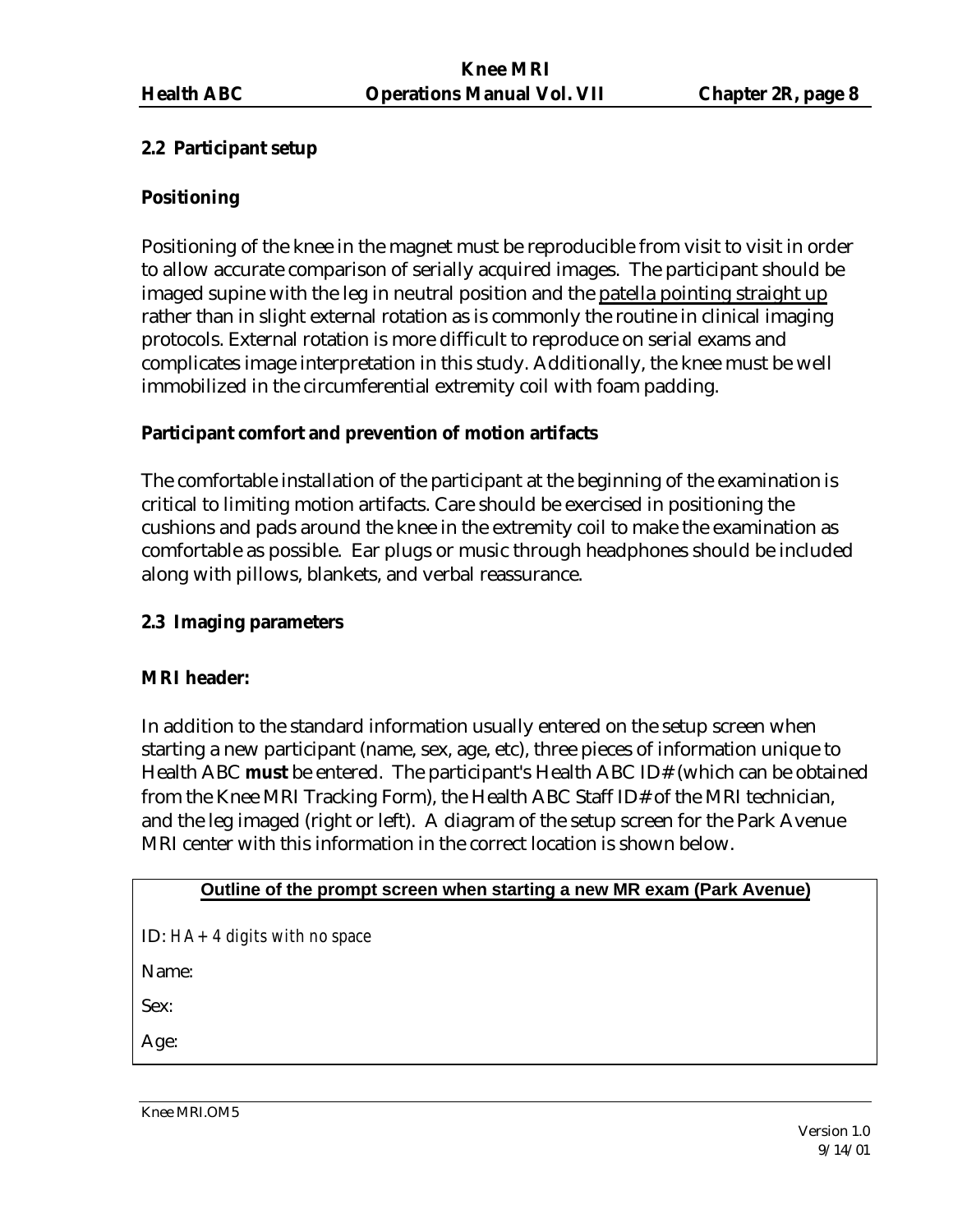#### **2.2 Participant setup**

#### **Positioning**

Positioning of the knee in the magnet must be reproducible from visit to visit in order to allow accurate comparison of serially acquired images. The participant should be imaged supine with the leg in neutral position and the patella pointing straight up rather than in slight external rotation as is commonly the routine in clinical imaging protocols. External rotation is more difficult to reproduce on serial exams and complicates image interpretation in this study. Additionally, the knee must be well immobilized in the circumferential extremity coil with foam padding.

### **Participant comfort and prevention of motion artifacts**

The comfortable installation of the participant at the beginning of the examination is critical to limiting motion artifacts. Care should be exercised in positioning the cushions and pads around the knee in the extremity coil to make the examination as comfortable as possible. Ear plugs or music through headphones should be included along with pillows, blankets, and verbal reassurance.

#### **2.3 Imaging parameters**

#### **MRI header:**

In addition to the standard information usually entered on the setup screen when starting a new participant (name, sex, age, etc), three pieces of information unique to Health ABC **must** be entered. The participant's Health ABC ID# (which can be obtained from the Knee MRI Tracking Form), the Health ABC Staff ID# of the MRI technician, and the leg imaged (right or left). A diagram of the setup screen for the Park Avenue MRI center with this information in the correct location is shown below.

#### **Outline of the prompt screen when starting a new MR exam (Park Avenue)**

ID: *HA+ 4 digits with no space*

Name:

Sex:

Age:

Knee MRI.OM5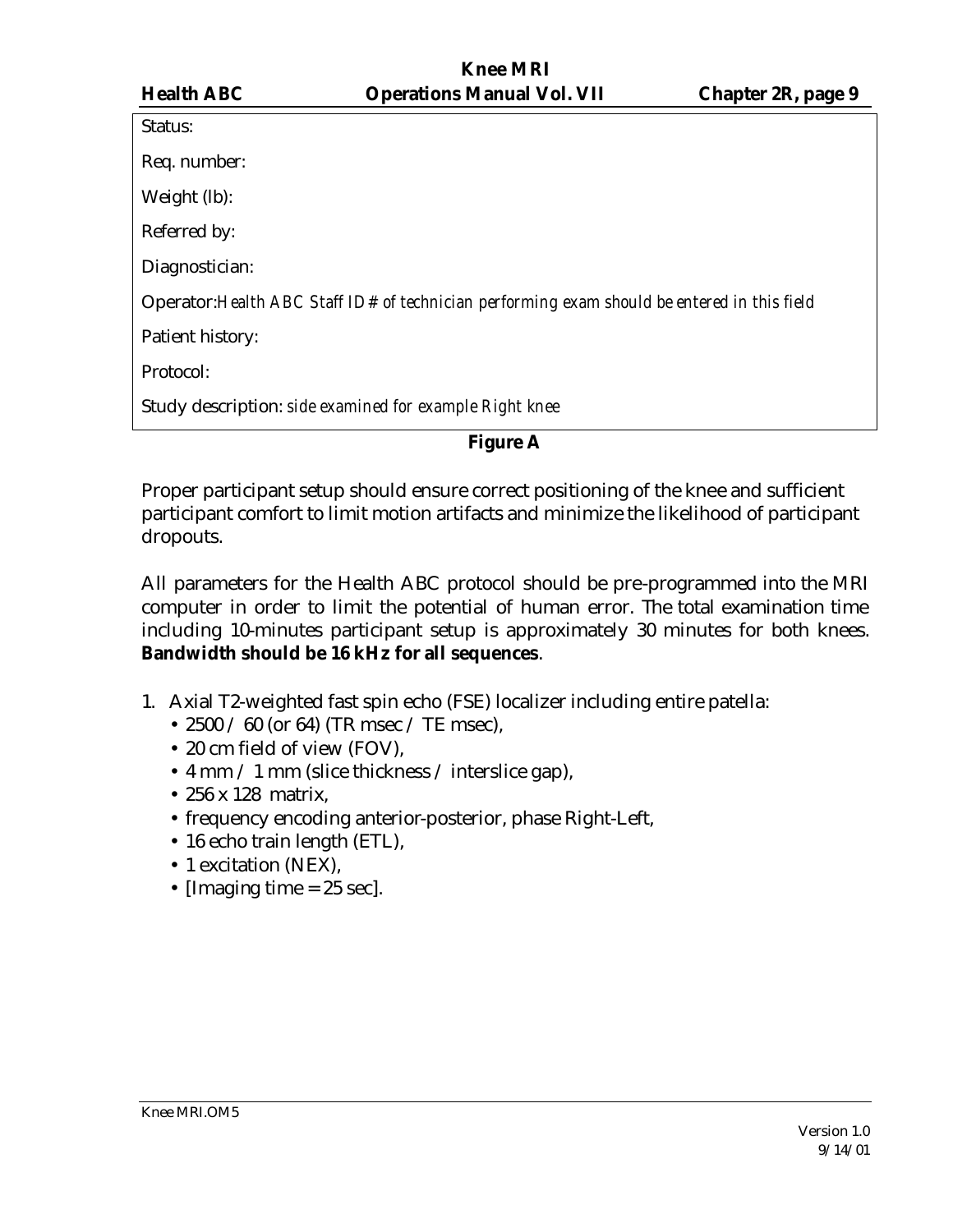|                  |                                                                                              | $\cdots$ |
|------------------|----------------------------------------------------------------------------------------------|----------|
| Status:          |                                                                                              |          |
| Req. number:     |                                                                                              |          |
| Weight (lb):     |                                                                                              |          |
| Referred by:     |                                                                                              |          |
| Diagnostician:   |                                                                                              |          |
|                  | Operator: Health ABC Staff ID# of technician performing exam should be entered in this field |          |
| Patient history: |                                                                                              |          |
| Protocol:        |                                                                                              |          |
|                  | Study description: side examined for example Right knee                                      |          |

**Figure A**

Proper participant setup should ensure correct positioning of the knee and sufficient participant comfort to limit motion artifacts and minimize the likelihood of participant dropouts.

All parameters for the Health ABC protocol should be pre-programmed into the MRI computer in order to limit the potential of human error. The total examination time including 10-minutes participant setup is approximately 30 minutes for both knees. **Bandwidth should be 16 kHz for all sequences**.

- 1. Axial T2-weighted fast spin echo (FSE) localizer including entire patella:
	- 2500 / 60 (or 64) (TR msec / TE msec),
	- 20 cm field of view (FOV),
	- 4 mm / 1 mm (slice thickness / interslice gap),
	- 256 x 128 matrix,
	- frequency encoding anterior-posterior, phase Right-Left,
	- 16 echo train length (ETL),
	- 1 excitation (NEX),
	- [Imaging time  $= 25$  sec].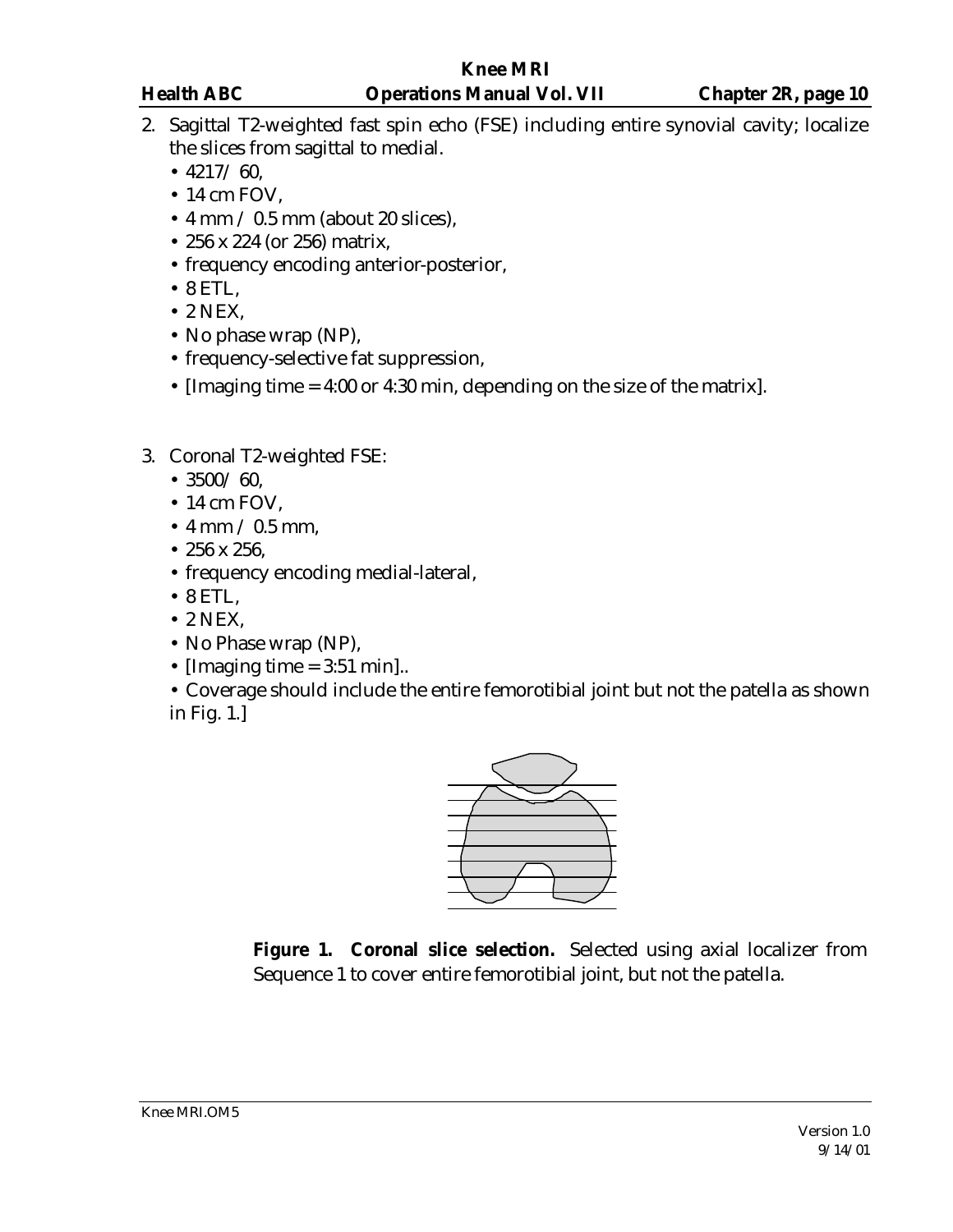- 2. Sagittal T2-weighted fast spin echo (FSE) including entire synovial cavity; localize the slices from sagittal to medial.
	- $\cdot$  4217/60.
	- 14 cm FOV,
	- $\cdot$  4 mm  $/$  0.5 mm (about 20 slices),
	- 256 x 224 (or 256) matrix,
	- frequency encoding anterior-posterior,
	- 8 ETL,
	- 2 NEX,
	- No phase wrap (NP),
	- frequency-selective fat suppression,
	- [Imaging time = 4:00 or 4:30 min, depending on the size of the matrix].
- 3. Coronal T2-weighted FSE:
	- $3500/60$ ,
	- 14 cm FOV,
	- 4 mm / 0.5 mm,
	- 256 x 256,
	- frequency encoding medial-lateral,
	- 8 ETL,
	- 2 NEX,
	- No Phase wrap (NP),
	- [Imaging time  $= 3:51$  min]..

• Coverage should include the entire femorotibial joint but not the patella as shown in Fig. 1.]



**Figure 1. Coronal slice selection.** Selected using axial localizer from Sequence 1 to cover entire femorotibial joint, but not the patella.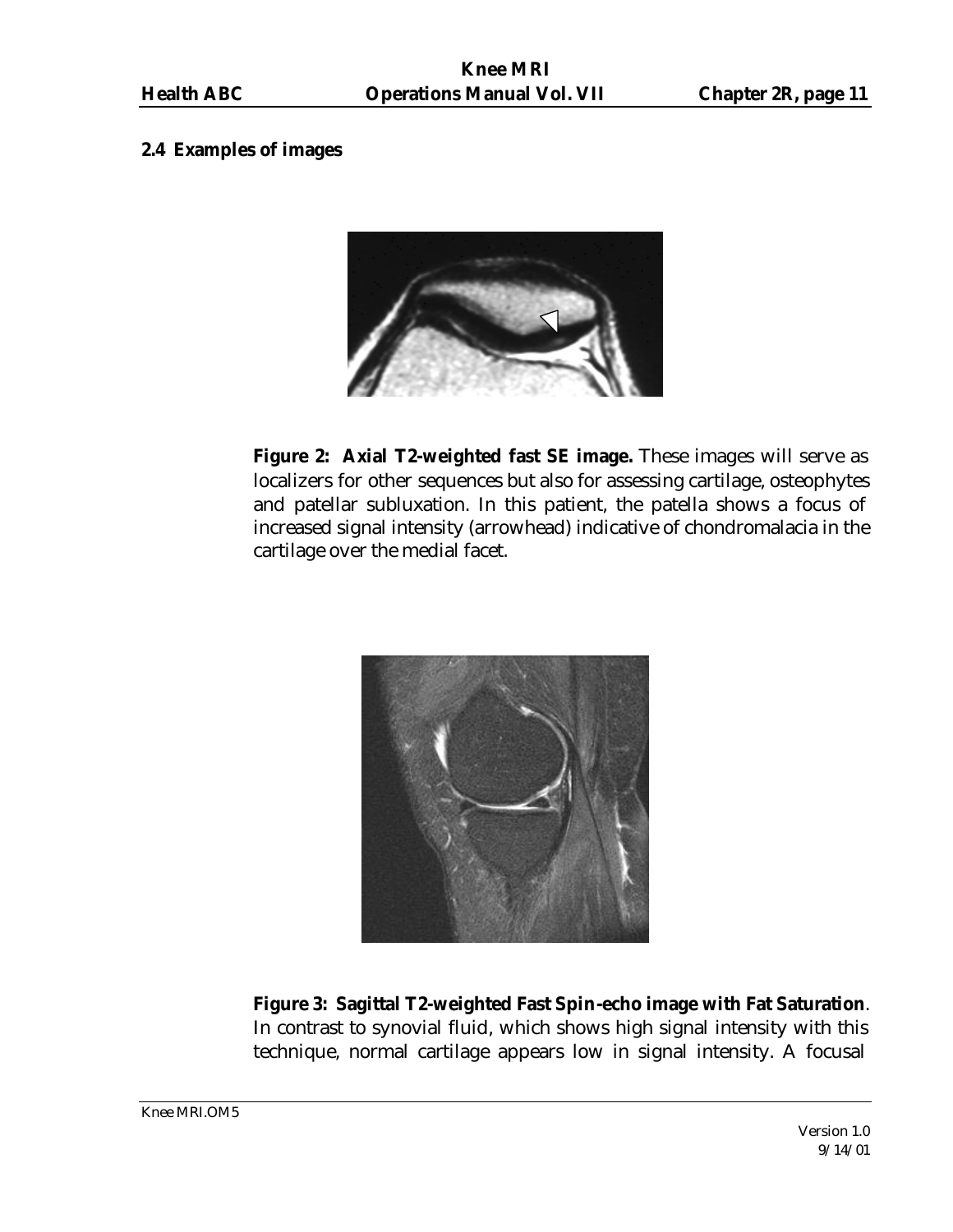#### **2.4 Examples of images**



**Figure 2: Axial T2-weighted fast SE image.** These images will serve as localizers for other sequences but also for assessing cartilage, osteophytes and patellar subluxation. In this patient, the patella shows a focus of increased signal intensity (arrowhead) indicative of chondromalacia in the cartilage over the medial facet.



**Figure 3: Sagittal T2-weighted Fast Spin-echo image with Fat Saturation**. In contrast to synovial fluid, which shows high signal intensity with this technique, normal cartilage appears low in signal intensity. A focusal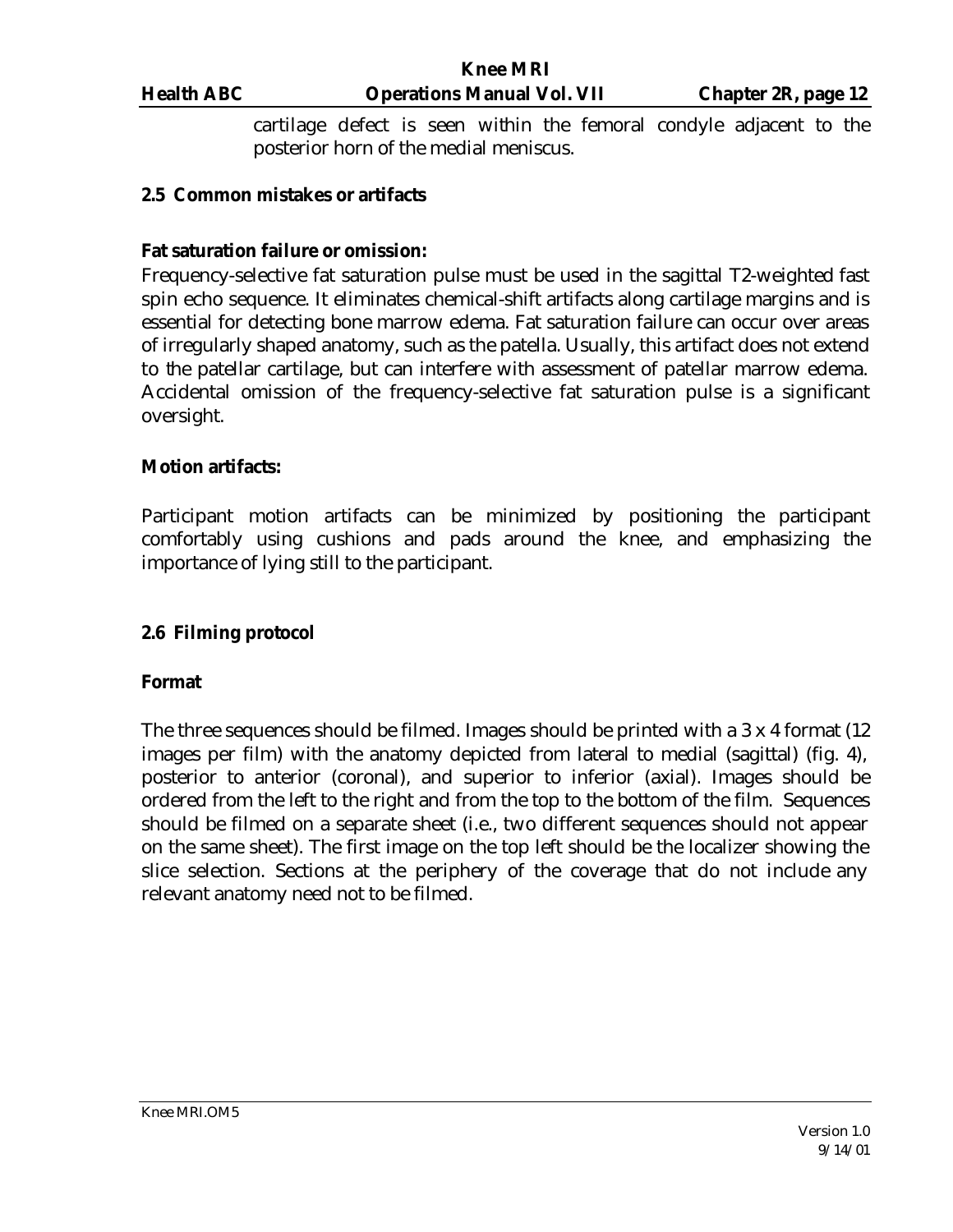cartilage defect is seen within the femoral condyle adjacent to the posterior horn of the medial meniscus.

#### **2.5 Common mistakes or artifacts**

#### **Fat saturation failure or omission:**

Frequency-selective fat saturation pulse must be used in the sagittal T2-weighted fast spin echo sequence. It eliminates chemical-shift artifacts along cartilage margins and is essential for detecting bone marrow edema. Fat saturation failure can occur over areas of irregularly shaped anatomy, such as the patella. Usually, this artifact does not extend to the patellar cartilage, but can interfere with assessment of patellar marrow edema. Accidental omission of the frequency-selective fat saturation pulse is a significant oversight.

#### **Motion artifacts:**

Participant motion artifacts can be minimized by positioning the participant comfortably using cushions and pads around the knee, and emphasizing the importance of lying still to the participant.

#### **2.6 Filming protocol**

#### **Format**

The three sequences should be filmed. Images should be printed with a 3 x 4 format (12 images per film) with the anatomy depicted from lateral to medial (sagittal) (fig. 4), posterior to anterior (coronal), and superior to inferior (axial). Images should be ordered from the left to the right and from the top to the bottom of the film. Sequences should be filmed on a separate sheet (i.e., two different sequences should not appear on the same sheet). The first image on the top left should be the localizer showing the slice selection. Sections at the periphery of the coverage that do not include any relevant anatomy need not to be filmed.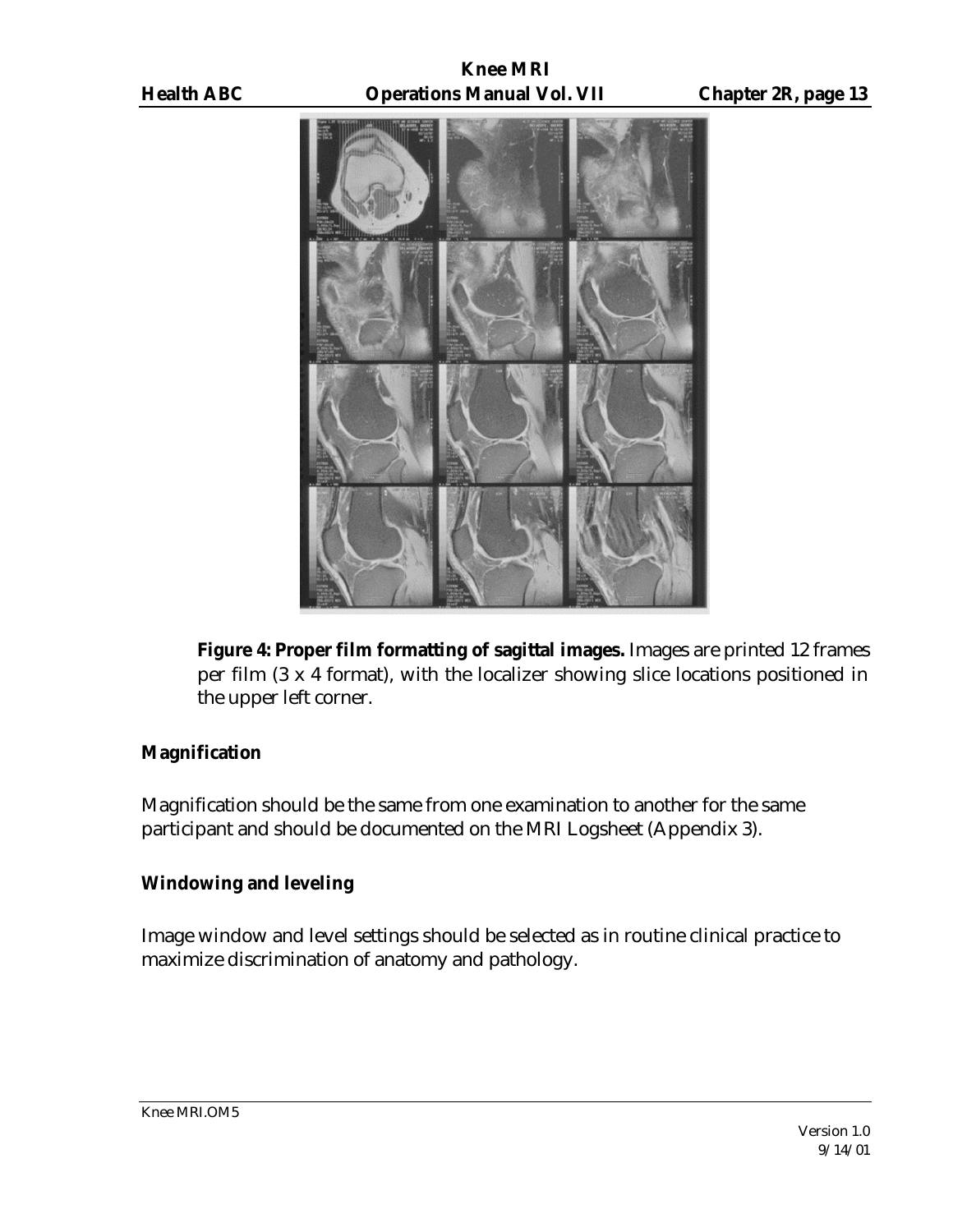

**Figure 4: Proper film formatting of sagittal images.** Images are printed 12 frames per film (3 x 4 format), with the localizer showing slice locations positioned in the upper left corner.

#### **Magnification**

Magnification should be the same from one examination to another for the same participant and should be documented on the MRI Logsheet (Appendix 3).

# **Windowing and leveling**

Image window and level settings should be selected as in routine clinical practice to maximize discrimination of anatomy and pathology.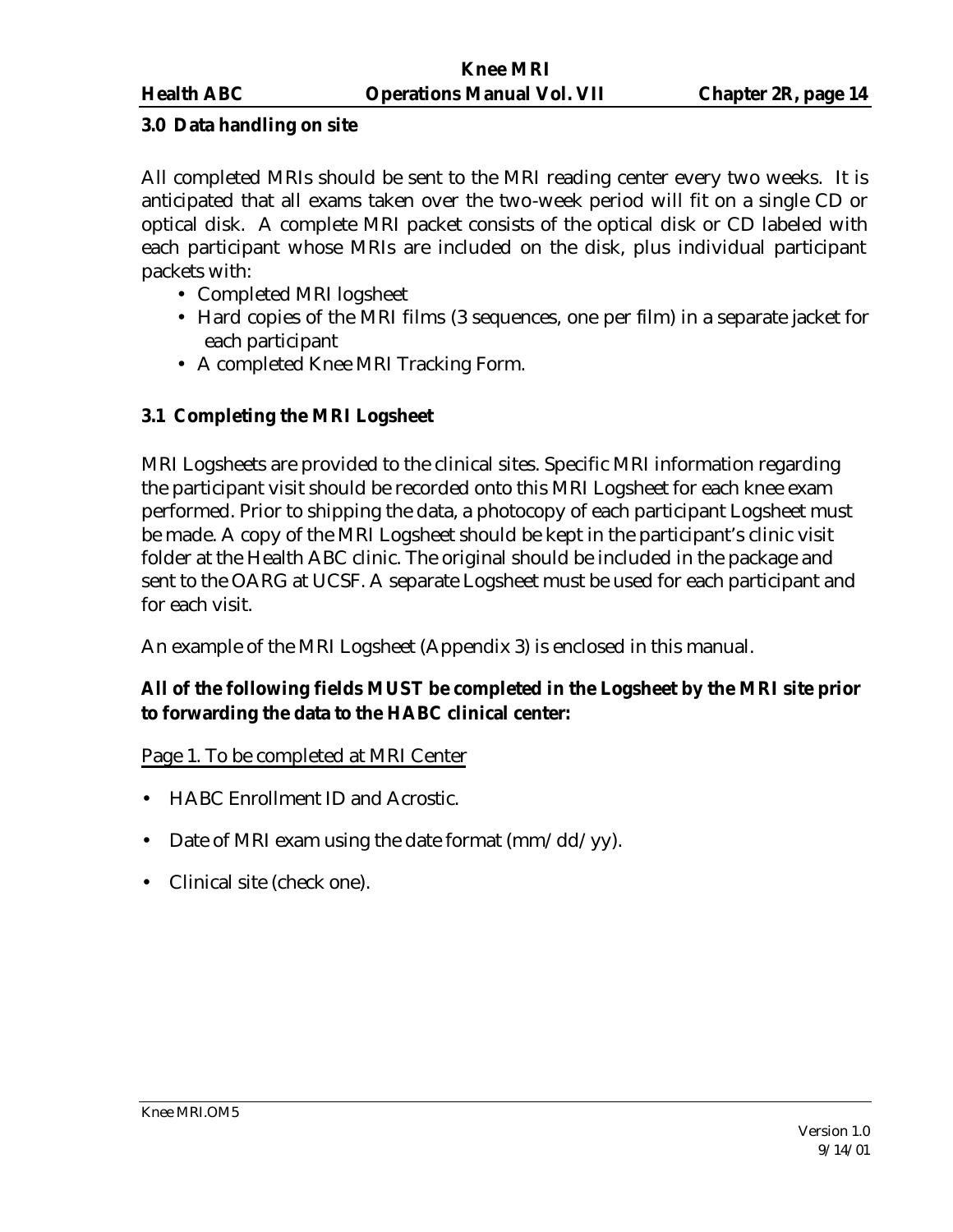#### **3.0 Data handling on site**

All completed MRIs should be sent to the MRI reading center every two weeks. It is anticipated that all exams taken over the two-week period will fit on a single CD or optical disk. A complete MRI packet consists of the optical disk or CD labeled with each participant whose MRIs are included on the disk, plus individual participant packets with:

- Completed MRI logsheet
- Hard copies of the MRI films (3 sequences, one per film) in a separate jacket for each participant
- A completed Knee MRI Tracking Form.

### **3.1 Completing the MRI Logsheet**

MRI Logsheets are provided to the clinical sites. Specific MRI information regarding the participant visit should be recorded onto this MRI Logsheet for each knee exam performed. Prior to shipping the data, a photocopy of each participant Logsheet must be made. A copy of the MRI Logsheet should be kept in the participant's clinic visit folder at the Health ABC clinic. The original should be included in the package and sent to the OARG at UCSF. A separate Logsheet must be used for each participant and for each visit.

An example of the MRI Logsheet (Appendix 3) is enclosed in this manual.

# **All of the following fields MUST be completed in the Logsheet by the MRI site prior to forwarding the data to the HABC clinical center:**

#### Page 1. To be completed at MRI Center

- HABC Enrollment ID and Acrostic.
- Date of MRI exam using the date format  $\frac{\text{mm}}{\text{dd}}$  /yy).
- Clinical site (check one).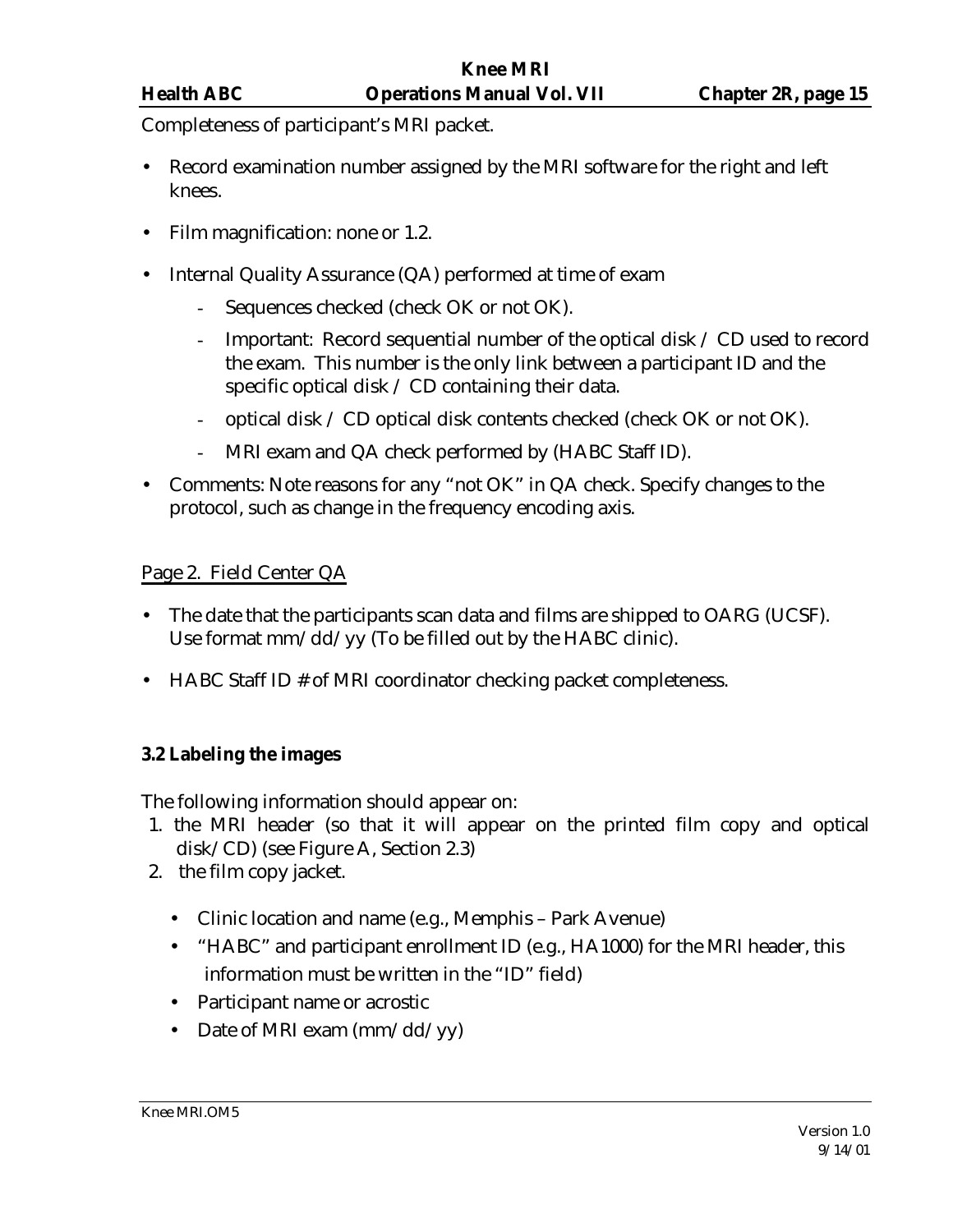Completeness of participant's MRI packet.

- Record examination number assigned by the MRI software for the right and left knees.
- Film magnification: none or 1.2.
- Internal Quality Assurance (QA) performed at time of exam
	- Sequences checked (check OK or not OK).
	- Important: Record sequential number of the optical disk / CD used to record the exam. This number is the only link between a participant ID and the specific optical disk / CD containing their data.
	- optical disk / CD optical disk contents checked (check OK or not OK).
	- MRI exam and QA check performed by (HABC Staff ID).
- Comments: Note reasons for any "not OK" in QA check. Specify changes to the protocol, such as change in the frequency encoding axis.

# Page 2. Field Center QA

- The date that the participants scan data and films are shipped to OARG (UCSF). Use format mm/dd/yy (To be filled out by the HABC clinic).
- HABC Staff ID # of MRI coordinator checking packet completeness.

# **3.2 Labeling the images**

The following information should appear on:

- 1. the MRI header (so that it will appear on the printed film copy and optical disk/CD) (see Figure A, Section 2.3)
- 2. the film copy jacket.
	- Clinic location and name (e.g., Memphis Park Avenue)
	- "HABC" and participant enrollment ID (e.g., HA1000) for the MRI header, this information must be written in the "ID" field)
	- Participant name or acrostic
	- Date of MRI exam  $\frac{\text{mm}}{\text{dd}}$  yy)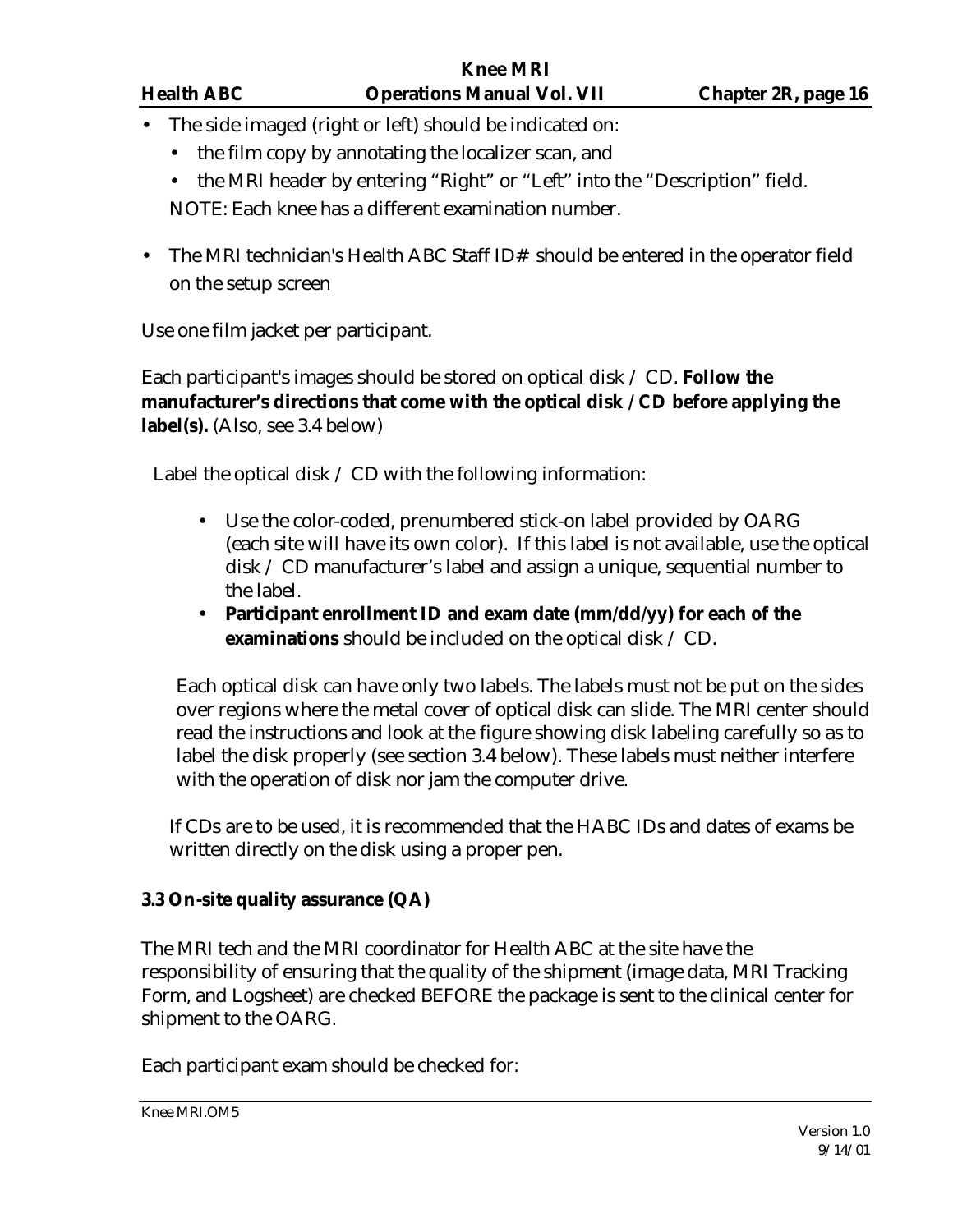|           | <b>Knee MRI</b>   |                                                                                                                                                                                                                                                                     |                            |  |  |  |
|-----------|-------------------|---------------------------------------------------------------------------------------------------------------------------------------------------------------------------------------------------------------------------------------------------------------------|----------------------------|--|--|--|
|           | <b>Health ABC</b> | <b>Operations Manual Vol. VII</b>                                                                                                                                                                                                                                   | <b>Chapter 2R, page 16</b> |  |  |  |
| $\bullet$ |                   | The side imaged (right or left) should be indicated on:                                                                                                                                                                                                             |                            |  |  |  |
|           |                   | • the film copy by annotating the localizer scan, and                                                                                                                                                                                                               |                            |  |  |  |
|           |                   | • the MRI header by entering "Right" or "Left" into the "Description" field.                                                                                                                                                                                        |                            |  |  |  |
|           |                   | NOTE: Each knee has a different examination number.                                                                                                                                                                                                                 |                            |  |  |  |
|           |                   | $\mathbf{T}^1$ , a $\mathbf{I}$ $\mathbf{D}^1$ $\mathbf{L}$ , $\mathbf{L}$ , $\mathbf{L}$ and $\mathbf{L}$ and $\mathbf{L}$ and $\mathbf{L}$ and $\mathbf{L}$ and $\mathbf{L}$ and $\mathbf{L}$ and $\mathbf{L}$ and $\mathbf{L}$ and $\mathbf{L}$ and $\mathbf{L}$ |                            |  |  |  |

• The MRI technician's Health ABC Staff ID# should be entered in the operator field on the setup screen

Use one film jacket per participant.

Each participant's images should be stored on optical disk / CD. **Follow the manufacturer's directions that come with the optical disk / CD before applying the label(s).** (Also, see 3.4 below)

Label the optical disk  $\angle$  CD with the following information:

- Use the color-coded, prenumbered stick-on label provided by OARG (each site will have its own color). If this label is not available, use the optical disk / CD manufacturer's label and assign a unique, sequential number to the label.
- **Participant enrollment ID and exam date (mm/dd/yy) for each of the examinations** should be included on the optical disk / CD.

Each optical disk can have only two labels. The labels must not be put on the sides over regions where the metal cover of optical disk can slide. The MRI center should read the instructions and look at the figure showing disk labeling carefully so as to label the disk properly (see section 3.4 below). These labels must neither interfere with the operation of disk nor jam the computer drive.

If CDs are to be used, it is recommended that the HABC IDs and dates of exams be written directly on the disk using a proper pen.

# **3.3 On-site quality assurance (QA)**

The MRI tech and the MRI coordinator for Health ABC at the site have the responsibility of ensuring that the quality of the shipment (image data, MRI Tracking Form, and Logsheet) are checked BEFORE the package is sent to the clinical center for shipment to the OARG.

Each participant exam should be checked for: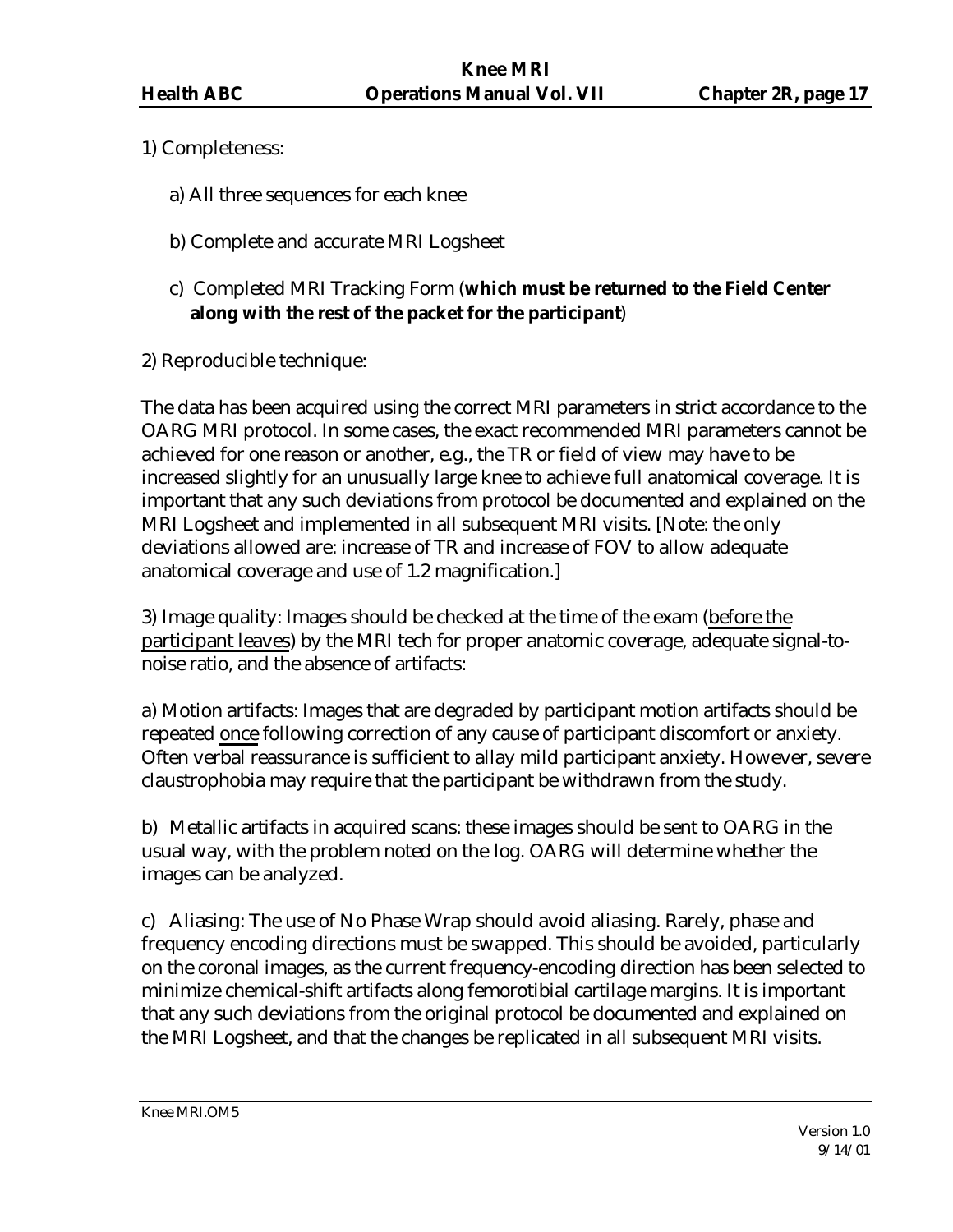- 1) Completeness:
	- a) All three sequences for each knee
	- b) Complete and accurate MRI Logsheet
	- c) Completed MRI Tracking Form (**which must be returned to the Field Center along with the rest of the packet for the participant**)
- 2) Reproducible technique:

The data has been acquired using the correct MRI parameters in strict accordance to the OARG MRI protocol. In some cases, the exact recommended MRI parameters cannot be achieved for one reason or another, e.g., the TR or field of view may have to be increased slightly for an unusually large knee to achieve full anatomical coverage. It is important that any such deviations from protocol be documented and explained on the MRI Logsheet and implemented in all subsequent MRI visits. [Note: the only deviations allowed are: increase of TR and increase of FOV to allow adequate anatomical coverage and use of 1.2 magnification.]

3) Image quality: Images should be checked at the time of the exam (before the participant leaves) by the MRI tech for proper anatomic coverage, adequate signal-tonoise ratio, and the absence of artifacts:

a) Motion artifacts: Images that are degraded by participant motion artifacts should be repeated once following correction of any cause of participant discomfort or anxiety. Often verbal reassurance is sufficient to allay mild participant anxiety. However, severe claustrophobia may require that the participant be withdrawn from the study.

b) Metallic artifacts in acquired scans: these images should be sent to OARG in the usual way, with the problem noted on the log. OARG will determine whether the images can be analyzed.

c) Aliasing: The use of No Phase Wrap should avoid aliasing. Rarely, phase and frequency encoding directions must be swapped. This should be avoided, particularly on the coronal images, as the current frequency-encoding direction has been selected to minimize chemical-shift artifacts along femorotibial cartilage margins. It is important that any such deviations from the original protocol be documented and explained on the MRI Logsheet, and that the changes be replicated in all subsequent MRI visits.

Knee MRI.OM5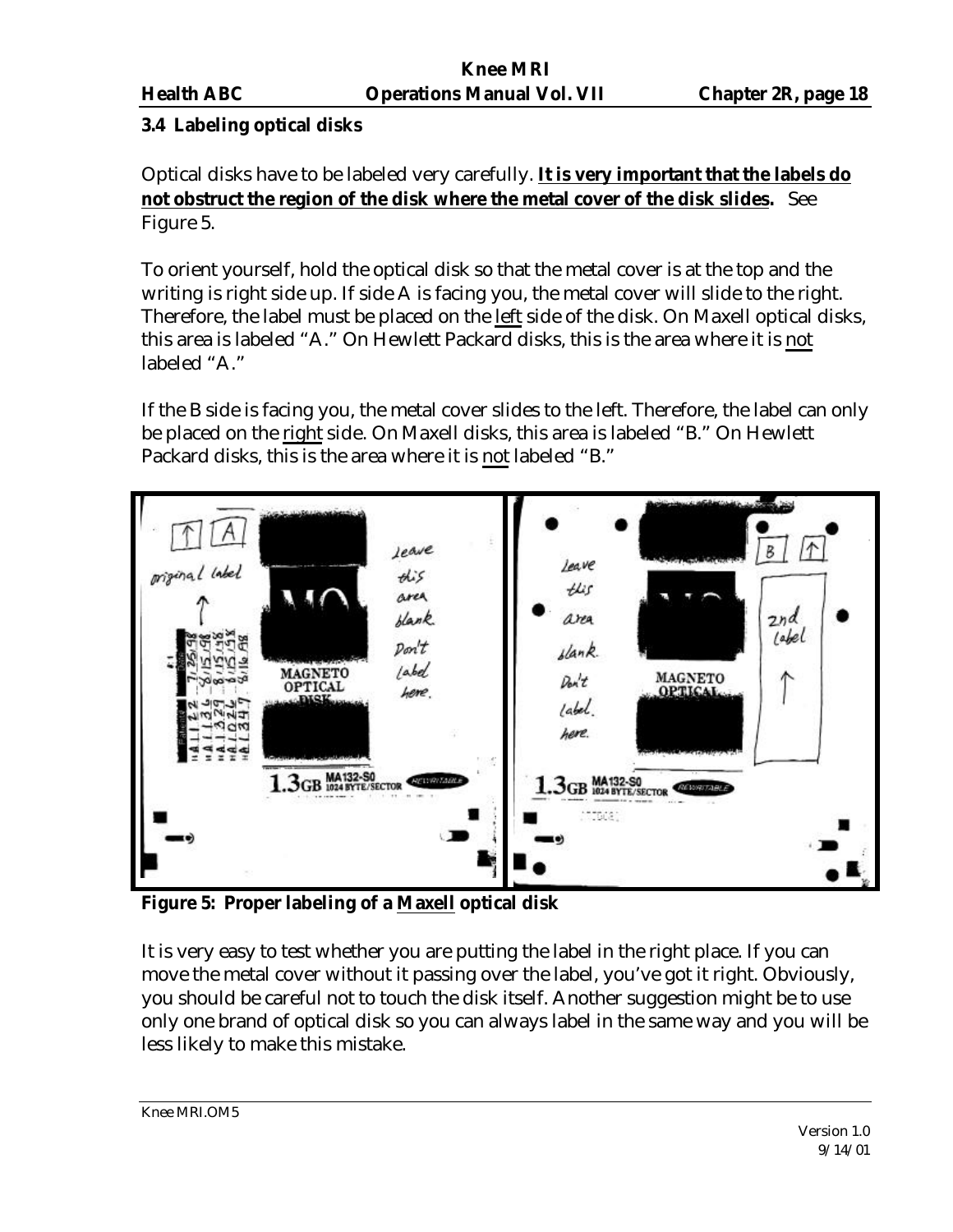# **3.4 Labeling optical disks**

Optical disks have to be labeled very carefully. **It is very important that the labels do not obstruct the region of the disk where the metal cover of the disk slides.** See Figure 5.

To orient yourself, hold the optical disk so that the metal cover is at the top and the writing is right side up. If side A is facing you, the metal cover will slide to the right. Therefore, the label must be placed on the left side of the disk. On Maxell optical disks, this area is labeled "A." On Hewlett Packard disks, this is the area where it is not labeled "A."

If the B side is facing you, the metal cover slides to the left. Therefore, the label can only be placed on the right side. On Maxell disks, this area is labeled "B." On Hewlett Packard disks, this is the area where it is not labeled "B."



**Figure 5: Proper labeling of a Maxell optical disk**

It is very easy to test whether you are putting the label in the right place. If you can move the metal cover without it passing over the label, you've got it right. Obviously, you should be careful not to touch the disk itself. Another suggestion might be to use only one brand of optical disk so you can always label in the same way and you will be less likely to make this mistake.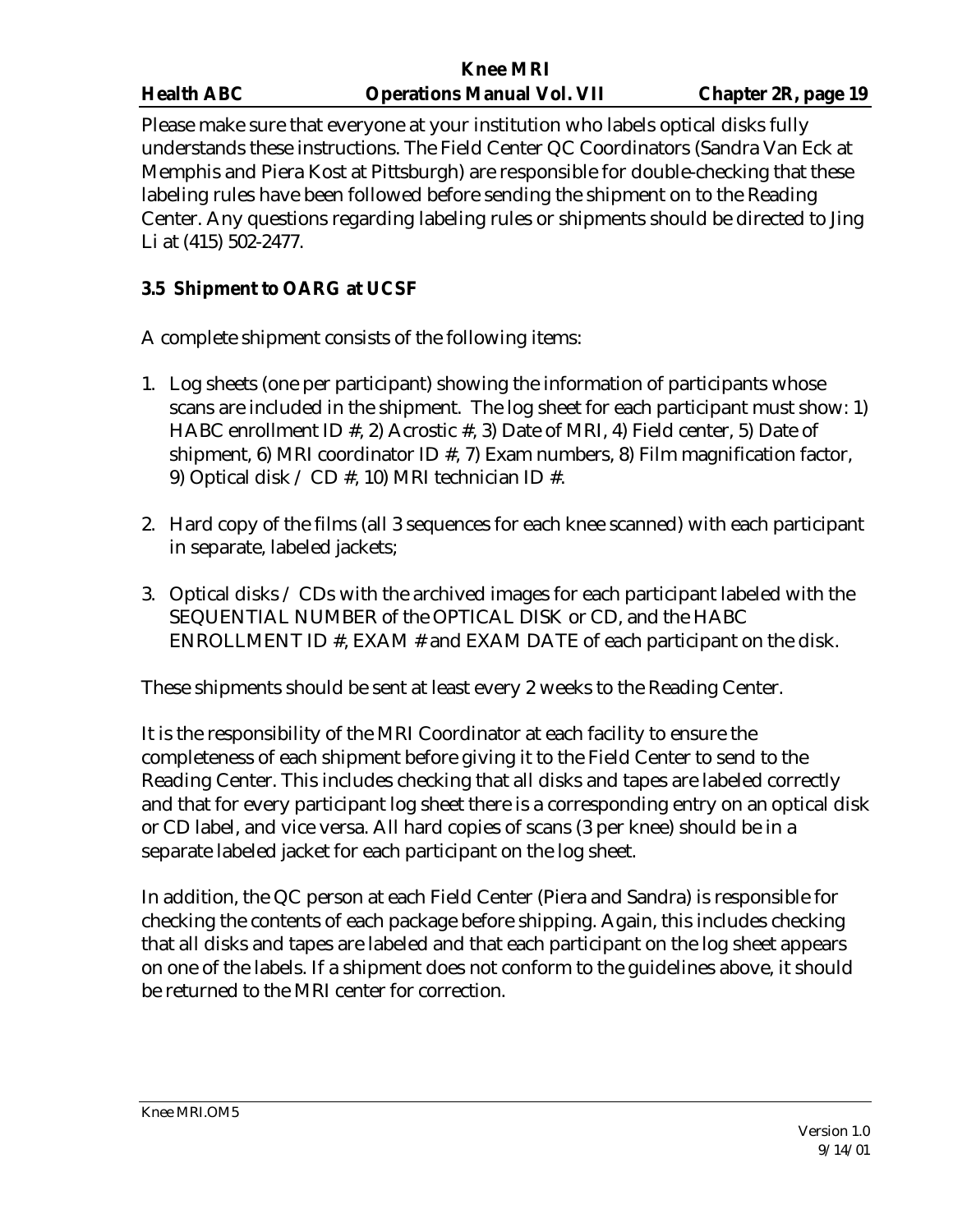|                   | <b>Knee MRI</b>                   |                     |
|-------------------|-----------------------------------|---------------------|
| <b>Health ABC</b> | <b>Operations Manual Vol. VII</b> | Chapter 2R, page 19 |
|                   |                                   |                     |

Please make sure that everyone at your institution who labels optical disks fully understands these instructions. The Field Center QC Coordinators (Sandra Van Eck at Memphis and Piera Kost at Pittsburgh) are responsible for double-checking that these labeling rules have been followed before sending the shipment on to the Reading Center. Any questions regarding labeling rules or shipments should be directed to Jing Li at (415) 502-2477.

# **3.5 Shipment to OARG at UCSF**

A complete shipment consists of the following items:

- 1. Log sheets (one per participant) showing the information of participants whose scans are included in the shipment. The log sheet for each participant must show: 1) HABC enrollment ID #, 2) Acrostic #, 3) Date of MRI, 4) Field center, 5) Date of shipment, 6) MRI coordinator ID  $#$ , 7) Exam numbers, 8) Film magnification factor, 9) Optical disk / CD #, 10) MRI technician ID #.
- 2. Hard copy of the films (all 3 sequences for each knee scanned) with each participant in separate, labeled jackets;
- 3. Optical disks / CDs with the archived images for each participant labeled with the SEQUENTIAL NUMBER of the OPTICAL DISK or CD, and the HABC ENROLLMENT ID #, EXAM # and EXAM DATE of each participant on the disk.

These shipments should be sent at least every 2 weeks to the Reading Center.

It is the responsibility of the MRI Coordinator at each facility to ensure the completeness of each shipment before giving it to the Field Center to send to the Reading Center. This includes checking that all disks and tapes are labeled correctly and that for every participant log sheet there is a corresponding entry on an optical disk or CD label, and vice versa. All hard copies of scans (3 per knee) should be in a separate labeled jacket for each participant on the log sheet.

In addition, the QC person at each Field Center (Piera and Sandra) is responsible for checking the contents of each package before shipping. Again, this includes checking that all disks and tapes are labeled and that each participant on the log sheet appears on one of the labels. If a shipment does not conform to the guidelines above, it should be returned to the MRI center for correction.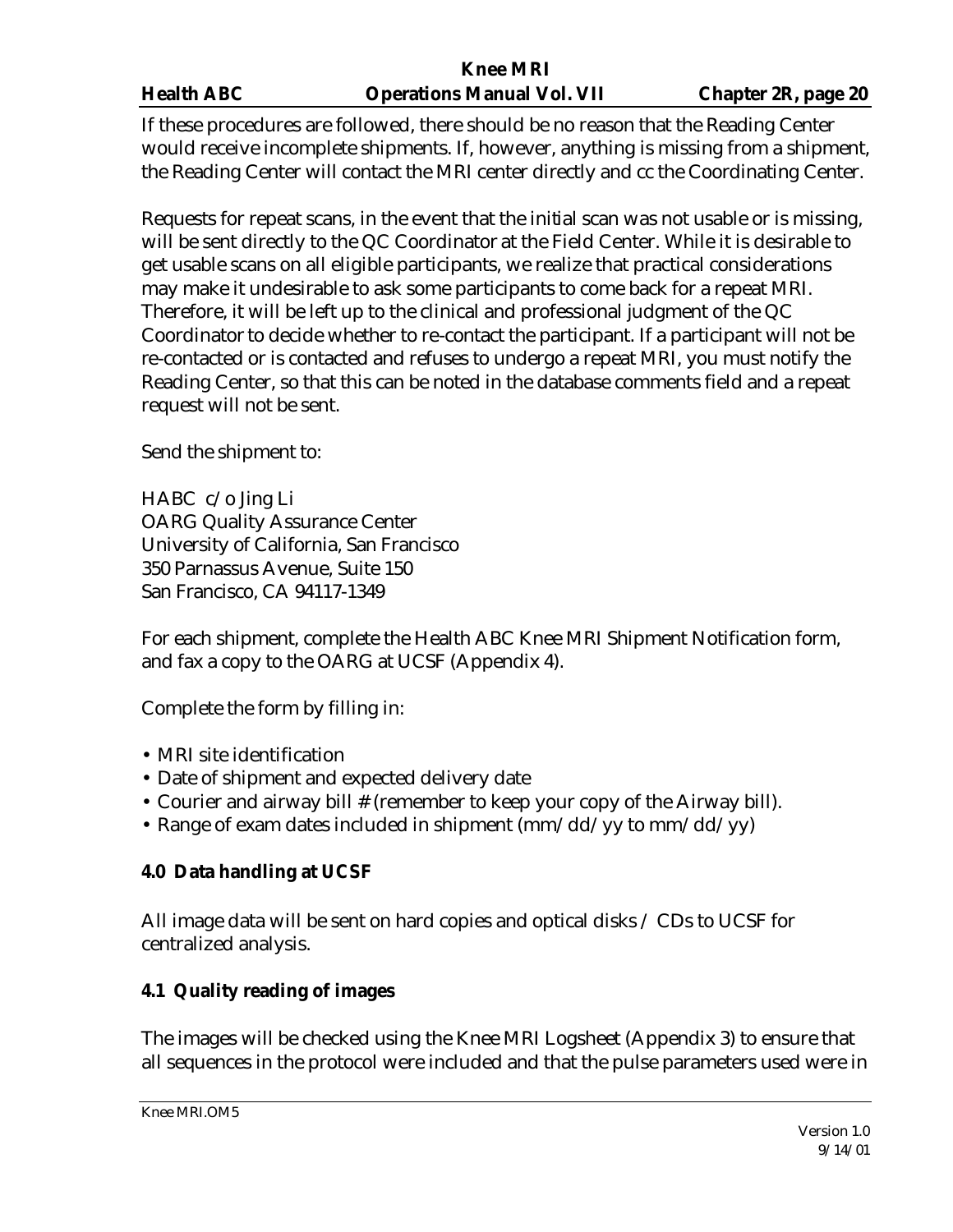If these procedures are followed, there should be no reason that the Reading Center would receive incomplete shipments. If, however, anything is missing from a shipment, the Reading Center will contact the MRI center directly and cc the Coordinating Center.

Requests for repeat scans, in the event that the initial scan was not usable or is missing, will be sent directly to the QC Coordinator at the Field Center. While it is desirable to get usable scans on all eligible participants, we realize that practical considerations may make it undesirable to ask some participants to come back for a repeat MRI. Therefore, it will be left up to the clinical and professional judgment of the QC Coordinator to decide whether to re-contact the participant. If a participant will not be re-contacted or is contacted and refuses to undergo a repeat MRI, you must notify the Reading Center, so that this can be noted in the database comments field and a repeat request will not be sent.

Send the shipment to:

HABC c/o Jing Li OARG Quality Assurance Center University of California, San Francisco 350 Parnassus Avenue, Suite 150 San Francisco, CA 94117-1349

For each shipment, complete the Health ABC Knee MRI Shipment Notification form, and fax a copy to the OARG at UCSF (Appendix 4).

Complete the form by filling in:

- MRI site identification
- Date of shipment and expected delivery date
- Courier and airway bill # (remember to keep your copy of the Airway bill).
- Range of exam dates included in shipment  $\frac{\text{mm}}{\text{dd}}$  yy to mm/dd/yy)

# **4.0 Data handling at UCSF**

All image data will be sent on hard copies and optical disks / CDs to UCSF for centralized analysis.

# **4.1 Quality reading of images**

The images will be checked using the Knee MRI Logsheet (Appendix 3) to ensure that all sequences in the protocol were included and that the pulse parameters used were in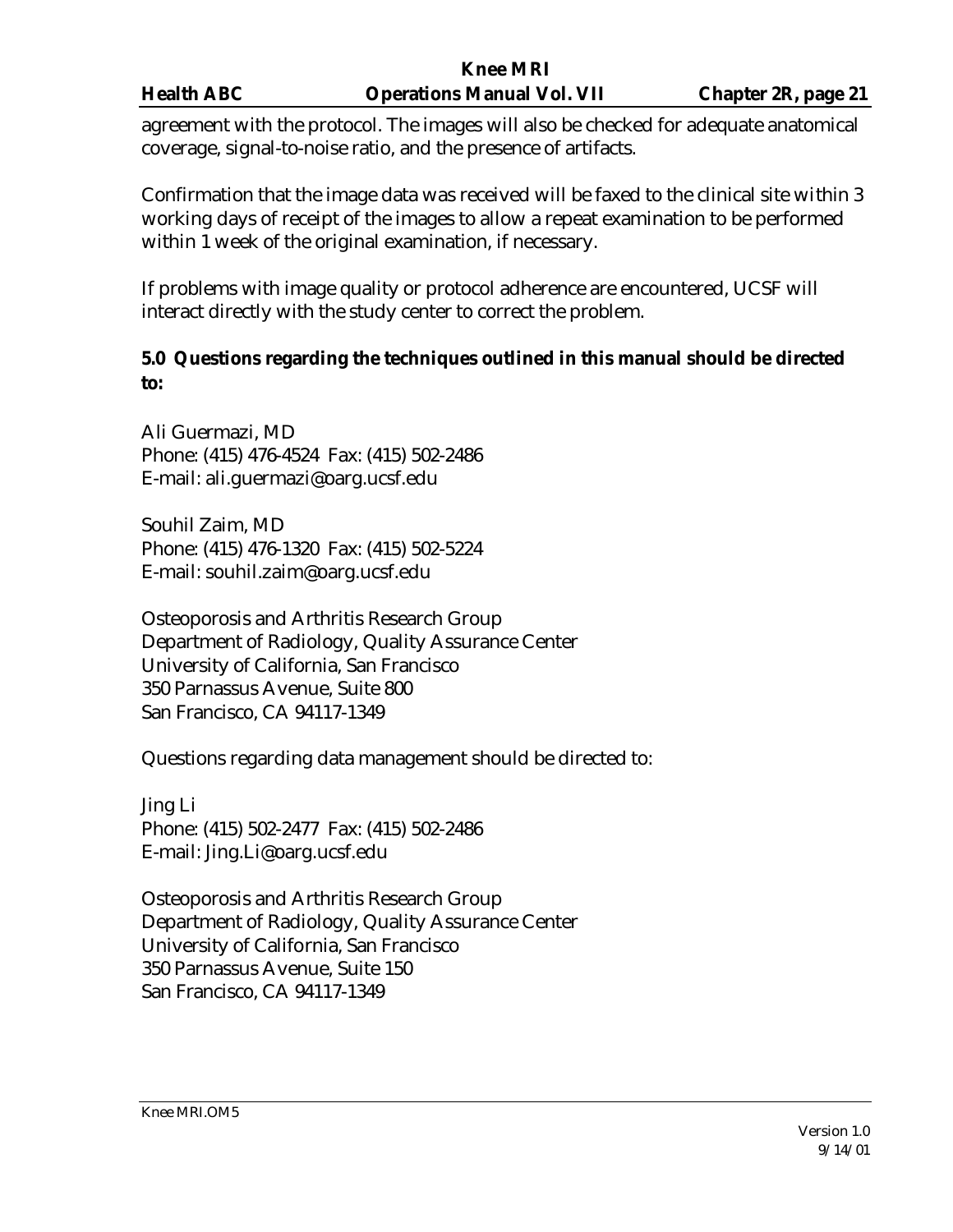agreement with the protocol. The images will also be checked for adequate anatomical coverage, signal-to-noise ratio, and the presence of artifacts.

Confirmation that the image data was received will be faxed to the clinical site within 3 working days of receipt of the images to allow a repeat examination to be performed within 1 week of the original examination, if necessary.

If problems with image quality or protocol adherence are encountered, UCSF will interact directly with the study center to correct the problem.

# **5.0 Questions regarding the techniques outlined in this manual should be directed to:**

Ali Guermazi, MD Phone: (415) 476-4524 Fax: (415) 502-2486 E-mail: ali.guermazi@oarg.ucsf.edu

Souhil Zaim, MD Phone: (415) 476-1320 Fax: (415) 502-5224 E-mail: souhil.zaim@oarg.ucsf.edu

Osteoporosis and Arthritis Research Group Department of Radiology, Quality Assurance Center University of California, San Francisco 350 Parnassus Avenue, Suite 800 San Francisco, CA 94117-1349

Questions regarding data management should be directed to:

Jing Li Phone: (415) 502-2477 Fax: (415) 502-2486 E-mail: Jing.Li@oarg.ucsf.edu

Osteoporosis and Arthritis Research Group Department of Radiology, Quality Assurance Center University of California, San Francisco 350 Parnassus Avenue, Suite 150 San Francisco, CA 94117-1349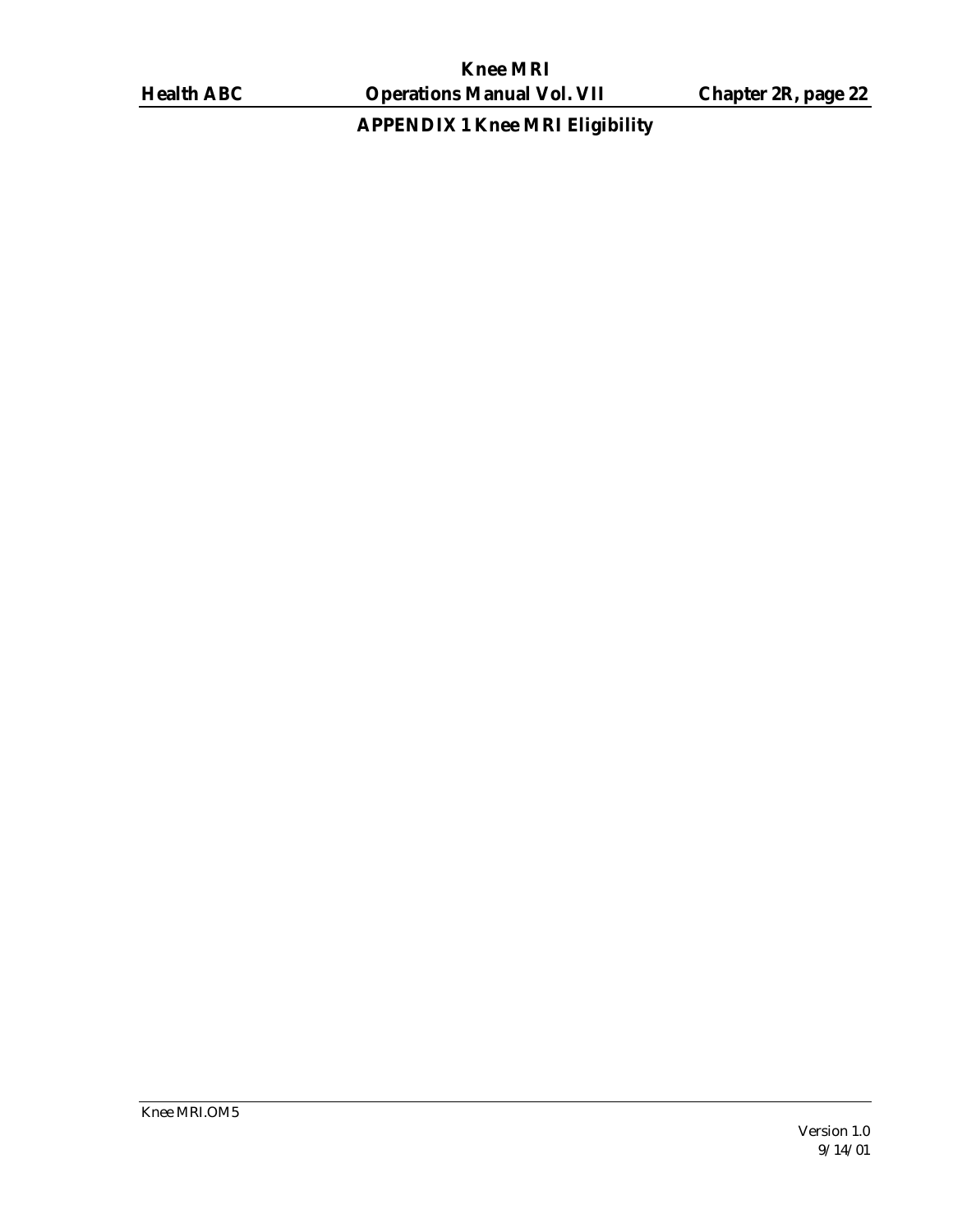**APPENDIX 1 Knee MRI Eligibility**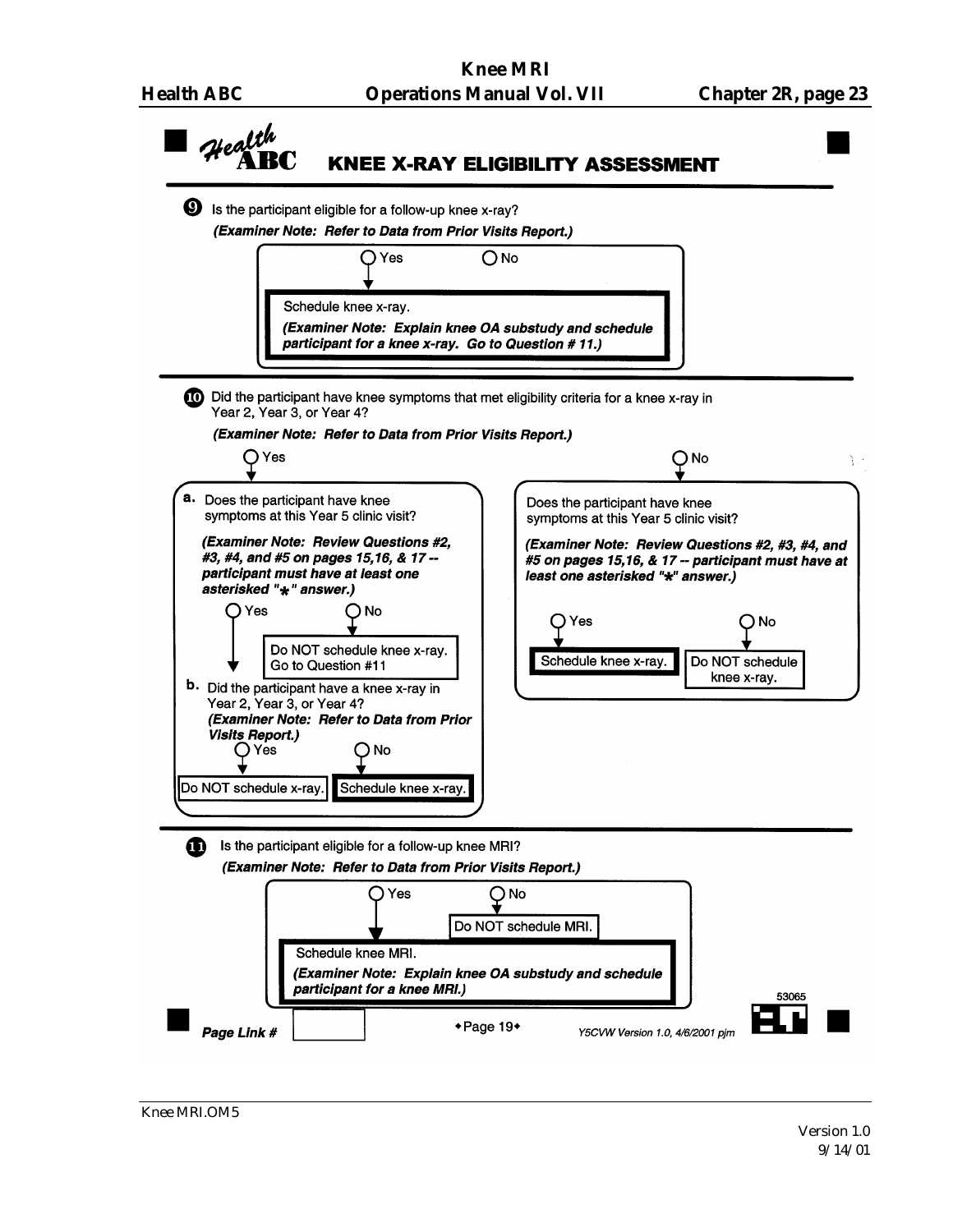

Knee MRI.OM5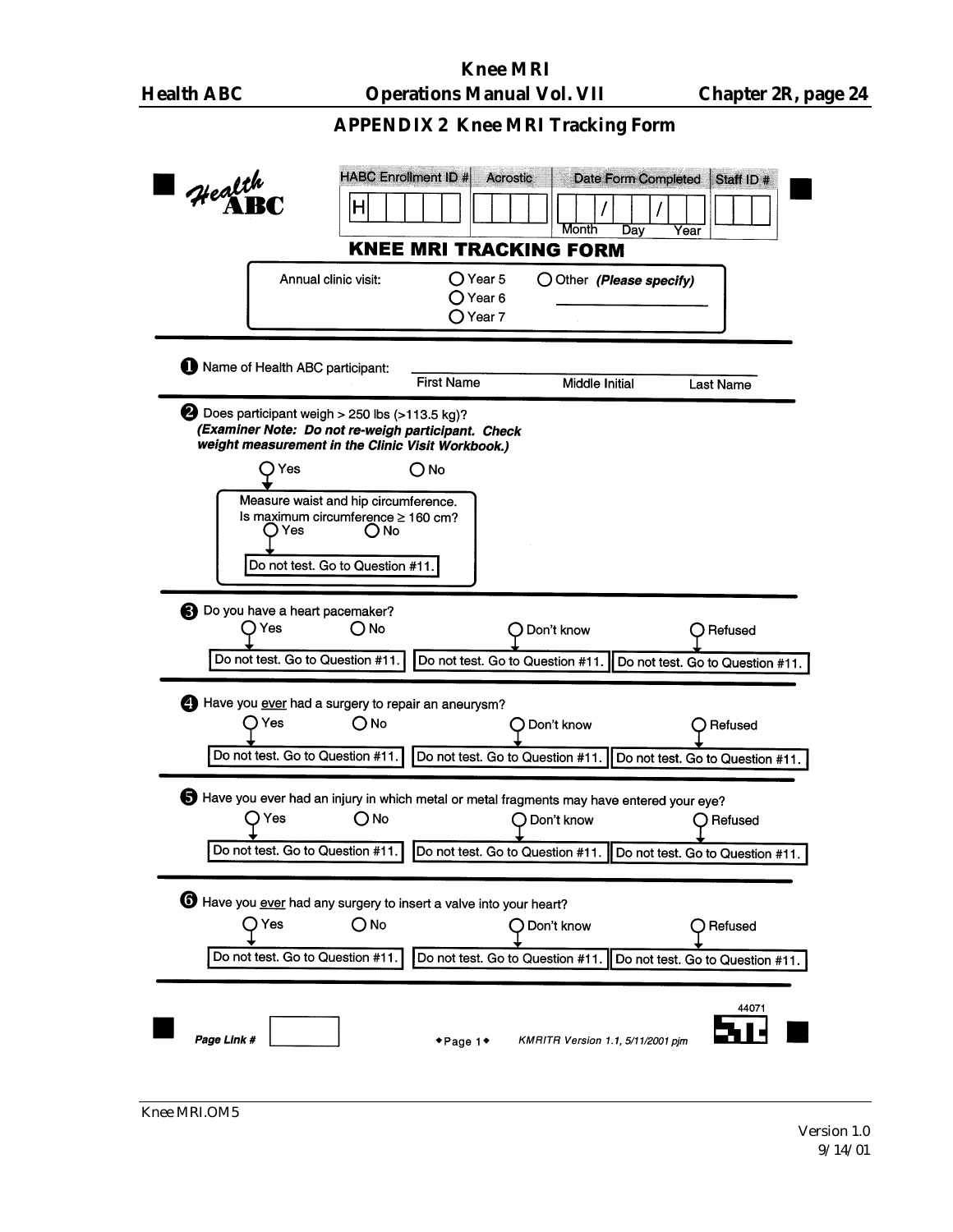# **APPENDIX 2 Knee MRI Tracking Form**

| <b>HABC Enrollment ID #</b><br>Date Form Completed<br><b>Acrostic</b><br>Staff ID #<br>Health<br>Η<br>Month<br>Dav<br>Year                                                                                                                                                                                    |
|---------------------------------------------------------------------------------------------------------------------------------------------------------------------------------------------------------------------------------------------------------------------------------------------------------------|
| <b>KNEE MRI TRACKING FORM</b><br>Annual clinic visit:<br>$\bigcirc$ Year 5<br>O Other (Please specify)<br>Year 6<br>Year 7                                                                                                                                                                                    |
| Name of Health ABC participant:<br><b>First Name</b><br>Middle Initial<br>Last Name                                                                                                                                                                                                                           |
| Does participant weigh > 250 lbs (>113.5 kg)?<br>(Examiner Note: Do not re-weigh participant. Check<br>weight measurement in the Clinic Visit Workbook.)<br>) Yes<br>O No<br>Measure waist and hip circumference.<br>Is maximum circumference ≥ 160 cm?<br>D Yes<br>() No<br>Do not test. Go to Question #11. |
| Do you have a heart pacemaker?<br>Yes<br>() No<br>Don't know<br>Refused<br>Do not test. Go to Question #11.<br>Do not test. Go to Question #11.<br>Do not test. Go to Question #11.                                                                                                                           |
| Have you ever had a surgery to repair an aneurysm?<br>) Yes<br>ONo<br>Don't know<br>Refused<br>Do not test. Go to Question #11.<br>Do not test. Go to Question #11.<br>Do not test. Go to Question #11.                                                                                                       |
| Have you ever had an injury in which metal or metal fragments may have entered your eye?<br>) Yes<br>(O No<br>Don't know<br>Refused<br>Do not test. Go to Question #11.<br>Do not test. Go to Question #11.   Do not test. Go to Question #11.                                                                |
| <b>6</b> Have you ever had any surgery to insert a valve into your heart?<br>l Yes<br>O No<br>Don't know<br>Refused<br>Do not test. Go to Question #11.<br>Do not test. Go to Question #11.<br>Do not test. Go to Question #11.                                                                               |
| 44071<br>Page Link #<br>KMRITR Version 1.1, 5/11/2001 pim<br>$\bullet$ Page 1 $\bullet$                                                                                                                                                                                                                       |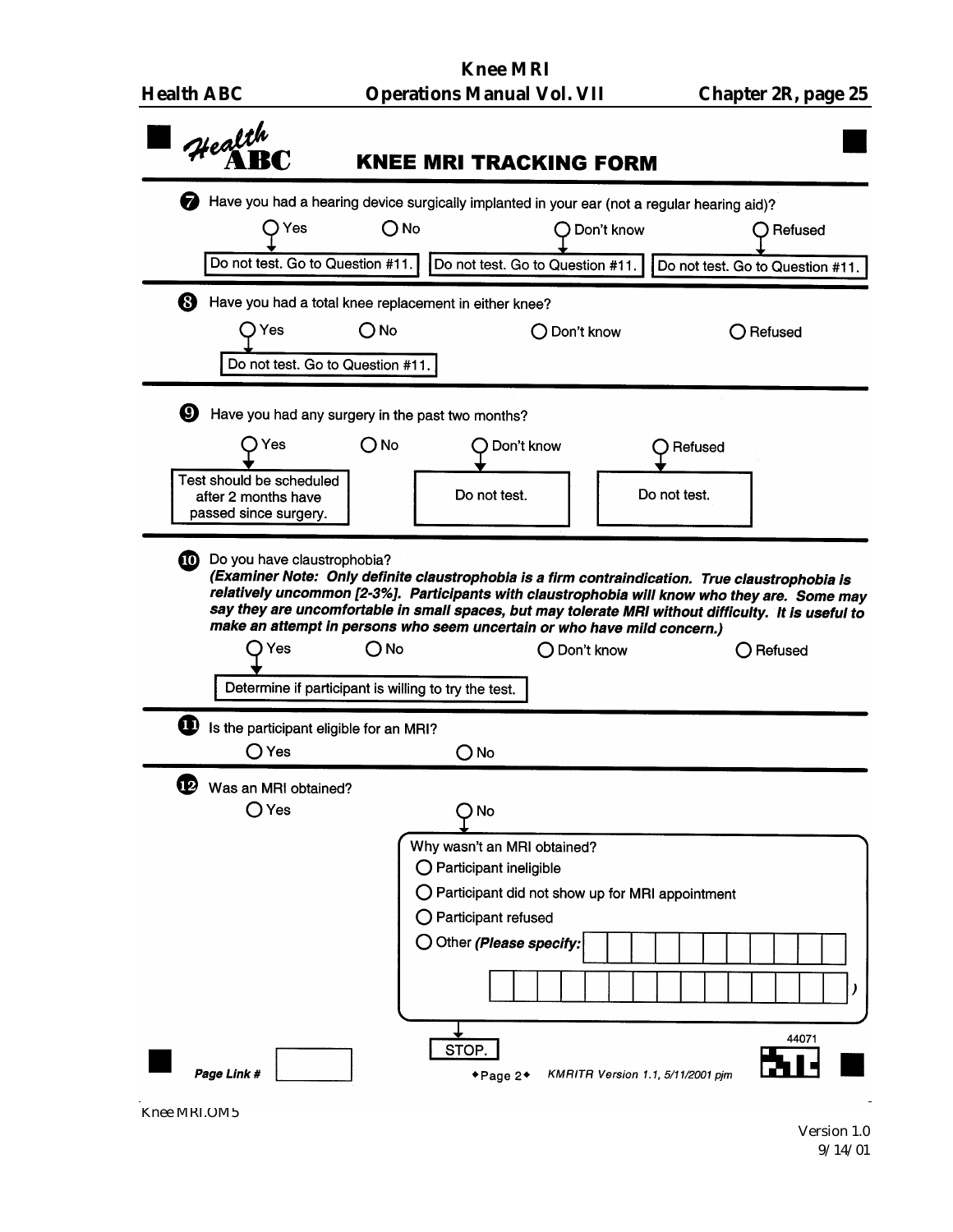| <b>Health ABC</b> |  |
|-------------------|--|
|-------------------|--|

|    |                                                 |               | Have you had a hearing device surgically implanted in your ear (not a regular hearing aid)?                                                                                                                                                                                                                                                                                          |                                  |                                                 |         |                                  |
|----|-------------------------------------------------|---------------|--------------------------------------------------------------------------------------------------------------------------------------------------------------------------------------------------------------------------------------------------------------------------------------------------------------------------------------------------------------------------------------|----------------------------------|-------------------------------------------------|---------|----------------------------------|
|    | Yes                                             | $\bigcirc$ No |                                                                                                                                                                                                                                                                                                                                                                                      |                                  | Don't know                                      |         | ( ) Refused                      |
|    | Do not test. Go to Question #11.                |               |                                                                                                                                                                                                                                                                                                                                                                                      | Do not test. Go to Question #11. |                                                 |         | Do not test. Go to Question #11. |
| ❸  |                                                 |               | Have you had a total knee replacement in either knee?                                                                                                                                                                                                                                                                                                                                |                                  |                                                 |         |                                  |
|    | Yes                                             | O No          |                                                                                                                                                                                                                                                                                                                                                                                      | $\bigcirc$ Don't know            |                                                 |         | $\bigcirc$ Refused               |
|    | Do not test. Go to Question #11.                |               |                                                                                                                                                                                                                                                                                                                                                                                      |                                  |                                                 |         |                                  |
| Ø  |                                                 |               | Have you had any surgery in the past two months?                                                                                                                                                                                                                                                                                                                                     |                                  |                                                 |         |                                  |
|    | Yes                                             | O No          |                                                                                                                                                                                                                                                                                                                                                                                      | Don't know                       |                                                 | Refused |                                  |
|    | Test should be scheduled<br>after 2 months have |               | Do not test.                                                                                                                                                                                                                                                                                                                                                                         |                                  | Do not test.                                    |         |                                  |
|    | passed since surgery.                           |               |                                                                                                                                                                                                                                                                                                                                                                                      |                                  |                                                 |         |                                  |
|    | 10 Do you have claustrophobia?<br>Yes           | No            | (Examiner Note: Only definite claustrophobia is a firm contraindication. True claustrophobia is<br>relatively uncommon [2-3%]. Participants with claustrophobia will know who they are. Some may<br>say they are uncomfortable in small spaces, but may tolerate MRI without difficulty. It is useful to<br>make an attempt in persons who seem uncertain or who have mild concern.) | Don't know                       |                                                 |         | Refused                          |
|    |                                                 |               | Determine if participant is willing to try the test.                                                                                                                                                                                                                                                                                                                                 |                                  |                                                 |         |                                  |
|    | Is the participant eligible for an MRI?         |               |                                                                                                                                                                                                                                                                                                                                                                                      |                                  |                                                 |         |                                  |
|    | () Yes                                          |               | $O$ No                                                                                                                                                                                                                                                                                                                                                                               |                                  |                                                 |         |                                  |
| 12 | Was an MRI obtained?<br>$\bigcirc$ Yes          |               | No (                                                                                                                                                                                                                                                                                                                                                                                 |                                  |                                                 |         |                                  |
|    |                                                 |               | Why wasn't an MRI obtained?                                                                                                                                                                                                                                                                                                                                                          |                                  |                                                 |         |                                  |
|    |                                                 |               | $\bigcirc$ Participant ineligible                                                                                                                                                                                                                                                                                                                                                    |                                  |                                                 |         |                                  |
|    |                                                 |               | Participant refused                                                                                                                                                                                                                                                                                                                                                                  |                                  | Participant did not show up for MRI appointment |         |                                  |
|    |                                                 |               | O Other (Please specify:                                                                                                                                                                                                                                                                                                                                                             |                                  |                                                 |         |                                  |
|    |                                                 |               |                                                                                                                                                                                                                                                                                                                                                                                      |                                  |                                                 |         |                                  |

Knee MRI.OM5

 $\frac{1}{\sqrt{2}}$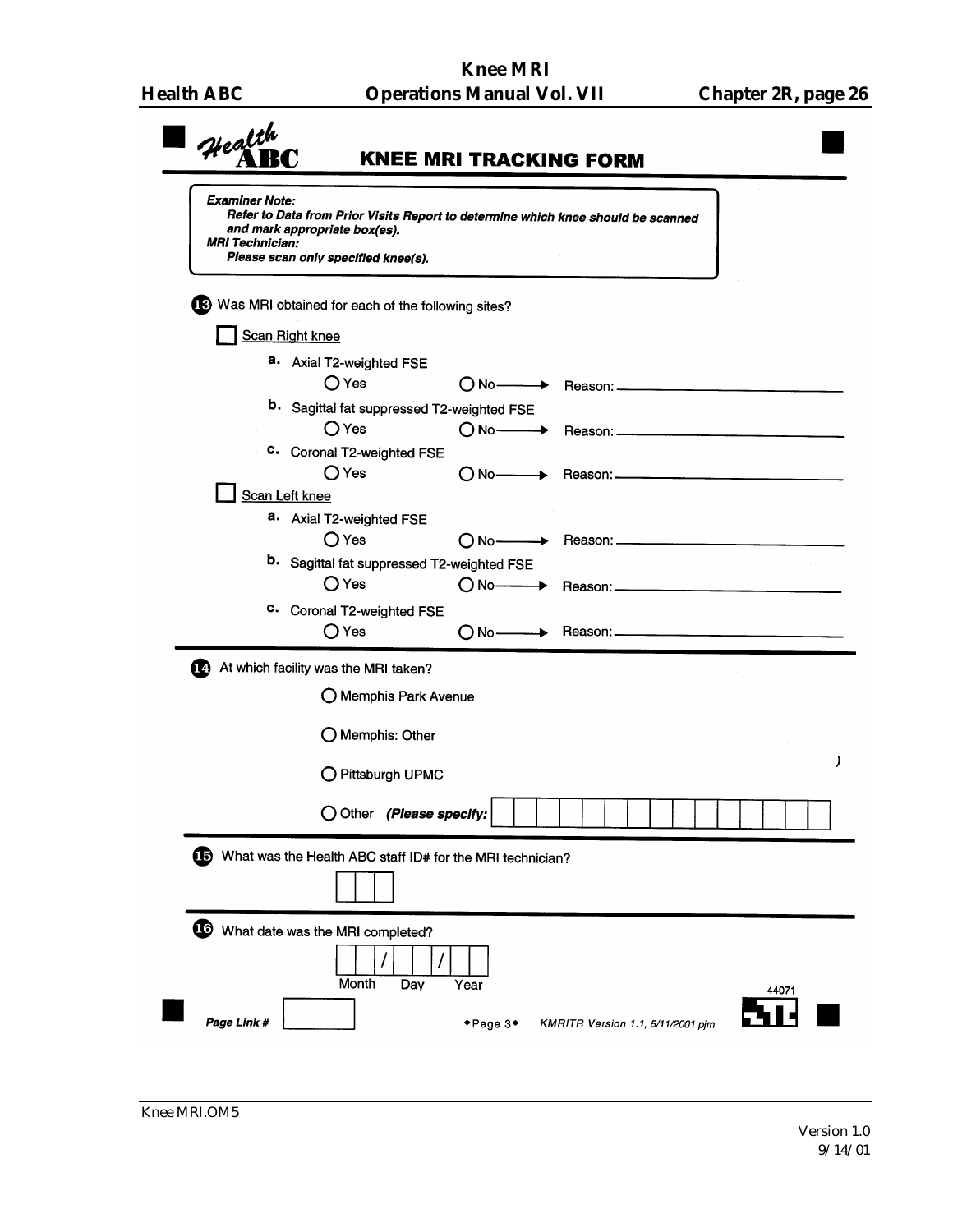| Health<br><b>Examiner Note:</b><br><b>MRI Technician:</b> | <b>KNEE MRI TRACKING FORM</b><br>Refer to Data from Prior Visits Report to determine which knee should be scanned<br>and mark appropriate box(es).<br>Please scan only specified knee(s). |
|-----------------------------------------------------------|-------------------------------------------------------------------------------------------------------------------------------------------------------------------------------------------|
|                                                           | B Was MRI obtained for each of the following sites?                                                                                                                                       |
| Scan Right knee                                           |                                                                                                                                                                                           |
|                                                           | a. Axial T2-weighted FSE                                                                                                                                                                  |
|                                                           | $\bigcirc$ Yes<br>○ No → Reason: <u> → Reason:</u>                                                                                                                                        |
|                                                           | <b>b.</b> Sagittal fat suppressed T2-weighted FSE                                                                                                                                         |
|                                                           | $\bigcirc$ Yes                                                                                                                                                                            |
|                                                           | c. Coronal T2-weighted FSE<br>$\bigcirc$ Yes                                                                                                                                              |
| Scan Left knee                                            | $\bigcap$ No $\longrightarrow$ Reason: $\longrightarrow$                                                                                                                                  |
|                                                           | a. Axial T2-weighted FSE                                                                                                                                                                  |
|                                                           | $\bigcirc$ Yes<br>$\bigcap$ No $\longrightarrow$ Reason: $\longrightarrow$                                                                                                                |
|                                                           | <b>b.</b> Sagittal fat suppressed T2-weighted FSE                                                                                                                                         |
|                                                           | $\bigcirc$ Yes                                                                                                                                                                            |
|                                                           | c. Coronal T2-weighted FSE                                                                                                                                                                |
|                                                           | ○ Yes                                                                                                                                                                                     |
|                                                           | At which facility was the MRI taken?                                                                                                                                                      |
|                                                           | O Memphis Park Avenue                                                                                                                                                                     |
|                                                           | O Memphis: Other                                                                                                                                                                          |
|                                                           | )<br>O Pittsburgh UPMC                                                                                                                                                                    |
|                                                           | O Other (Please specify:                                                                                                                                                                  |
| Œ                                                         | What was the Health ABC staff ID# for the MRI technician?                                                                                                                                 |
| Page Link #                                               | What date was the MRI completed?<br>Month<br>Day<br>Year<br>44071<br>◆Page 3◆<br>KMRITR Version 1.1, 5/11/2001 pim                                                                        |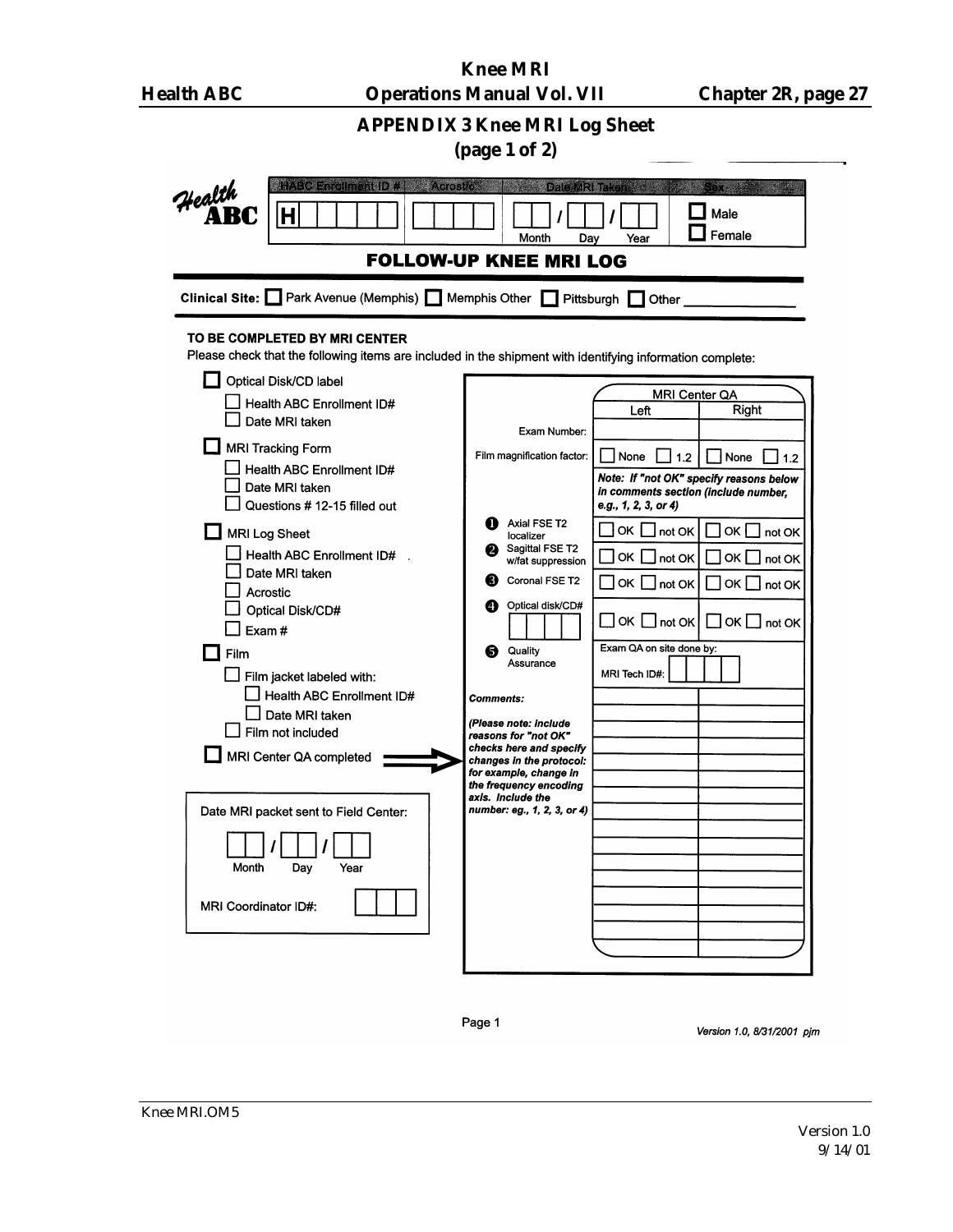| <b>Health ABC</b>                                     |                                                                                                                                                                                                                                                                                                                                                                                                                                     | <b>Knee MRI</b><br><b>Operations Manual Vol. VII</b>                                                                                                                                                                                                                                                                                                                                                                        |                                                                                                                                                                                                                                                             | <b>Chapter 2R, page 27</b>                                                                                                                                  |  |
|-------------------------------------------------------|-------------------------------------------------------------------------------------------------------------------------------------------------------------------------------------------------------------------------------------------------------------------------------------------------------------------------------------------------------------------------------------------------------------------------------------|-----------------------------------------------------------------------------------------------------------------------------------------------------------------------------------------------------------------------------------------------------------------------------------------------------------------------------------------------------------------------------------------------------------------------------|-------------------------------------------------------------------------------------------------------------------------------------------------------------------------------------------------------------------------------------------------------------|-------------------------------------------------------------------------------------------------------------------------------------------------------------|--|
| <b>APPENDIX 3 Knee MRI Log Sheet</b><br>(page 1 of 2) |                                                                                                                                                                                                                                                                                                                                                                                                                                     |                                                                                                                                                                                                                                                                                                                                                                                                                             |                                                                                                                                                                                                                                                             |                                                                                                                                                             |  |
| Health<br><b>AB</b>                                   | <b>Enkolment D. #1</b><br>İΗ                                                                                                                                                                                                                                                                                                                                                                                                        | Acrostro Haven<br>Date MRI Take<br>Month<br>Day<br><b>FOLLOW-UP KNEE MRI LOG</b>                                                                                                                                                                                                                                                                                                                                            | Year                                                                                                                                                                                                                                                        | Male<br>Female                                                                                                                                              |  |
|                                                       | Clinical Site: Park Avenue (Memphis) Nemphis Other                                                                                                                                                                                                                                                                                                                                                                                  | - 1                                                                                                                                                                                                                                                                                                                                                                                                                         | Pittsburgh<br>Other                                                                                                                                                                                                                                         |                                                                                                                                                             |  |
|                                                       | TO BE COMPLETED BY MRI CENTER<br>Please check that the following items are included in the shipment with identifying information complete:<br>Optical Disk/CD label                                                                                                                                                                                                                                                                 |                                                                                                                                                                                                                                                                                                                                                                                                                             |                                                                                                                                                                                                                                                             |                                                                                                                                                             |  |
| Exam#<br>Film<br>Month<br>MRI Coordinator ID#:        | Health ABC Enrollment ID#<br>Date MRI taken<br>MRI Tracking Form<br>Health ABC Enrollment ID#<br>Date MRI taken<br>Questions # 12-15 filled out<br>MRI Log Sheet<br>Health ABC Enrollment ID#<br>Date MRI taken<br>Acrostic<br>Optical Disk/CD#<br>Film jacket labeled with:<br>Health ABC Enrollment ID#<br>Date MRI taken<br>Film not included<br>MRI Center QA completed<br>Date MRI packet sent to Field Center:<br>Day<br>Year | Exam Number:<br>Film magnification factor:<br>Axial FSE T2<br>localizer<br>Sagittal FSE T2<br>w/fat suppression<br>Coronal FSE T2<br>Optical disk/CD#<br>ø<br>Quality<br>6<br>Assurance<br><b>Comments:</b><br>(Please note: include<br>reasons for "not OK"<br>checks here and specify<br>changes in the protocol:<br>for example, change in<br>the frequency encoding<br>axis. Include the<br>number: eg., 1, 2, 3, or 4) | MRI Center QA<br>Left<br>None<br>1.2<br>in comments section (include number,<br>e.g., 1, 2, 3, or 4)<br>OK I<br>not OK<br>OK<br>$\overline{\phantom{a}}$ not OK<br>  OK  <br>not OK<br>$\Box$ OK $\Box$ not OK<br>Exam QA on site done by:<br>MRI Tech ID#: | Right<br>None<br>1.2<br>Note: If "not OK" specify reasons below<br>OK $\Box$ not OK<br>OK $\Box$ not OK<br>OKI<br>$\perp$ not OK<br>$\Box$ OK $\Box$ not OK |  |

Page 1

Version 1.0, 8/31/2001 pjm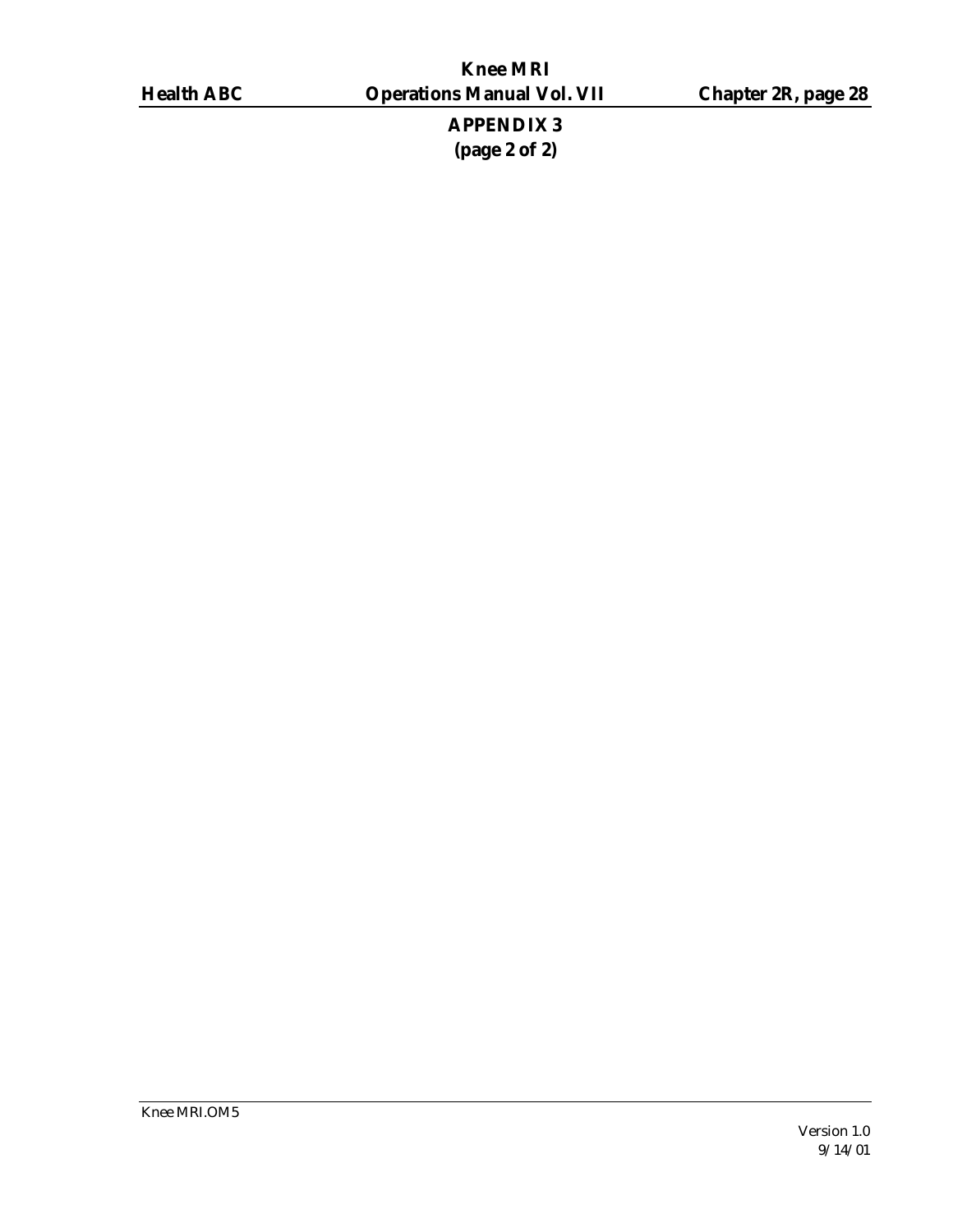**APPENDIX 3 (page 2 of 2)**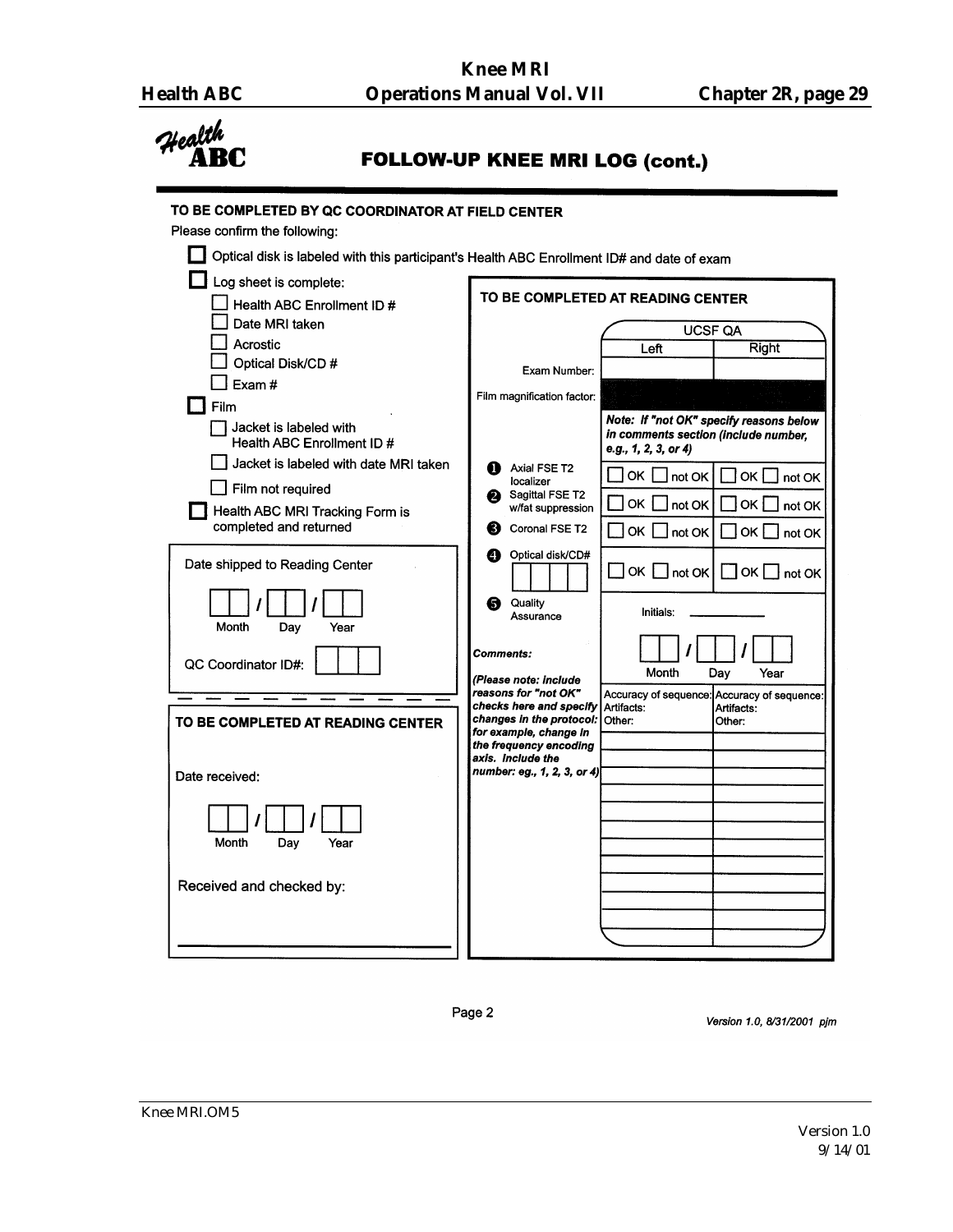

**FOLLOW-UP KNEE MRI LOG (cont.)** 

| Optical disk is labeled with this participant's Health ABC Enrollment ID# and date of exam |                                                     |                                                                                                         |
|--------------------------------------------------------------------------------------------|-----------------------------------------------------|---------------------------------------------------------------------------------------------------------|
| Log sheet is complete:                                                                     |                                                     | TO BE COMPLETED AT READING CENTER                                                                       |
| Health ABC Enrollment ID #                                                                 |                                                     |                                                                                                         |
| Date MRI taken                                                                             |                                                     | <b>UCSF QA</b>                                                                                          |
| Acrostic<br>Optical Disk/CD #                                                              |                                                     | Right<br>Left                                                                                           |
| Exam#                                                                                      | Exam Number:                                        |                                                                                                         |
| Film                                                                                       | Film magnification factor:                          |                                                                                                         |
| Jacket is labeled with<br>Health ABC Enrollment ID #                                       |                                                     | Note: If "not OK" specify reasons below<br>in comments section (include number,<br>e.g., 1, 2, 3, or 4) |
| Jacket is labeled with date MRI taken                                                      | Axial FSE T2                                        |                                                                                                         |
| Film not required                                                                          | localizer<br>Sagittal FSE T2<br>2                   | OK .<br>not OK<br>ok l<br>not OK                                                                        |
| Health ABC MRI Tracking Form is                                                            | w/fat suppression                                   | OK<br>ok [<br>not OK<br>not OK                                                                          |
| completed and returned                                                                     | Coronal FSE T2<br>6)                                | <b>OK</b><br>$ $ not OK<br>OK<br>I not OK                                                               |
| Date shipped to Reading Center                                                             | Optical disk/CD#<br>ø                               | OK $\Box$ not OK<br>∏ок [<br>not OK                                                                     |
| Month<br>Day<br>Year                                                                       | Quality<br>6<br>Assurance                           | Initials:                                                                                               |
| QC Coordinator ID#:                                                                        | Comments:                                           | Month<br>Dav<br>Year                                                                                    |
|                                                                                            | (Please note: include<br>reasons for "not OK"       | Accuracy of sequence:<br>Accuracy of sequence:                                                          |
| TO BE COMPLETED AT READING CENTER                                                          | checks here and specify<br>changes in the protocol: | Artifacts:<br>Artifacts:<br>Other:<br>Other:                                                            |
|                                                                                            | for example, change in<br>the frequency encoding    |                                                                                                         |
|                                                                                            | axis. Include the                                   |                                                                                                         |
| Date received:                                                                             | number: eg., 1, 2, 3, or 4)                         |                                                                                                         |
|                                                                                            |                                                     |                                                                                                         |
| Month<br>Day<br>Year                                                                       |                                                     |                                                                                                         |
|                                                                                            |                                                     |                                                                                                         |
| Received and checked by:                                                                   |                                                     |                                                                                                         |
|                                                                                            |                                                     |                                                                                                         |
|                                                                                            |                                                     |                                                                                                         |
|                                                                                            |                                                     |                                                                                                         |

Page 2

Version 1.0, 8/31/2001 pjm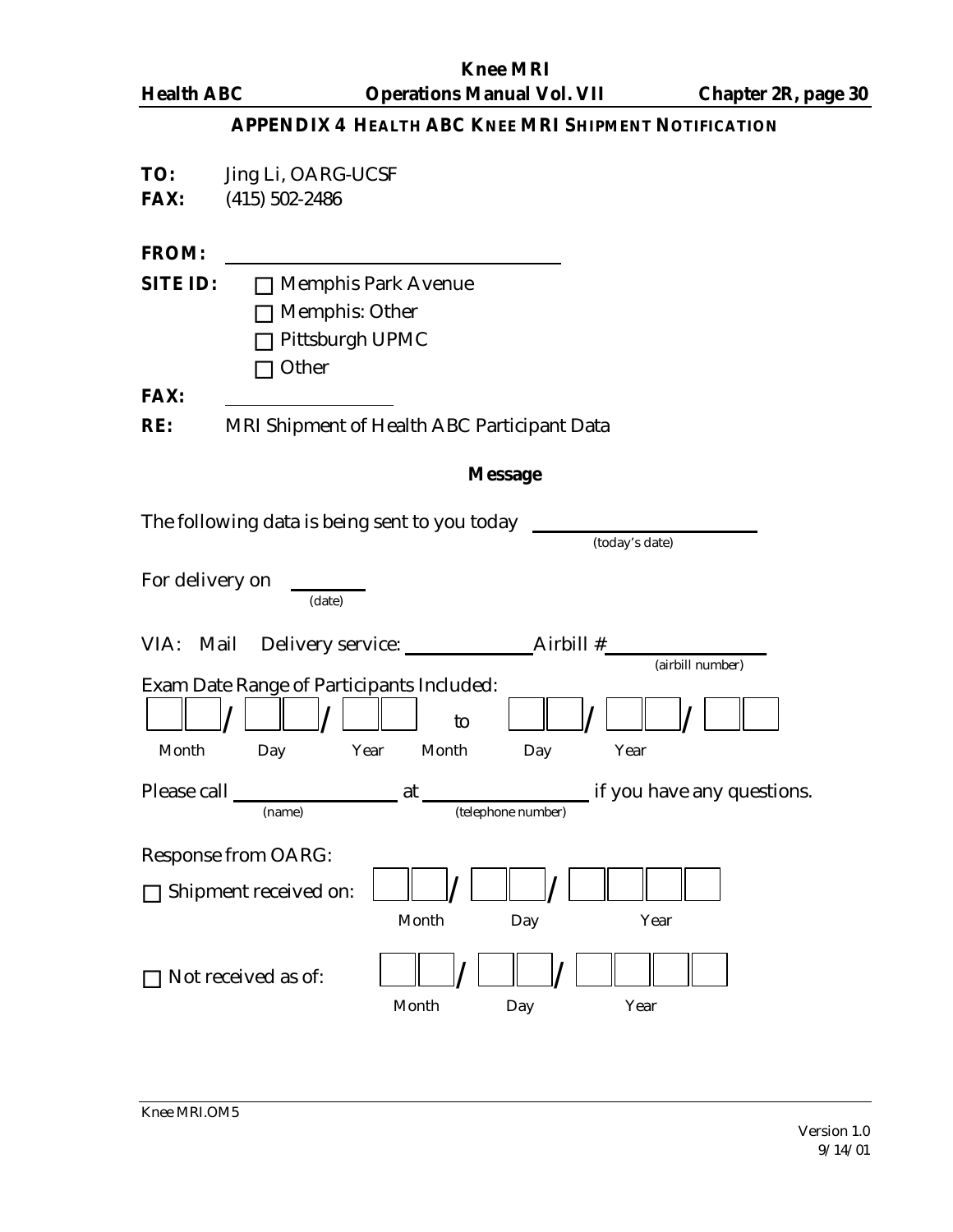**Knee MRI Health ABC Operations Manual Vol. VII Chapter 2R, page 30 APPENDIX 4 HEALTH ABC KNEE MRI SHIPMENT NOTIFICATION TO:** Jing Li, OARG-UCSF **FAX:** (415) 502-2486 **FROM: SITE ID: D** Memphis Park Avenue  $\Box$  Memphis: Other  $\Box$  Pittsburgh UPMC  $\Box$  Other **FAX: RE:** MRI Shipment of Health ABC Participant Data **Message** The following data is being sent to you today (today's date) For delivery on (date) VIA: Mail Delivery service: Airbill # (airbill number) Exam Date Range of Participants Included:  $/$   $\Box$   $\Box$   $/$ to  $\Box$  /  $\Box$  / Month Day Year Month Day Year Please call at if you have any questions. (name) (telephone number) Response from OARG: □ Shipment received on:  $\Box$  /  $\Box$  / Month Day Year  $\Box$  Not received as of:  $\Box$  /  $\Box$  / Month Day Year